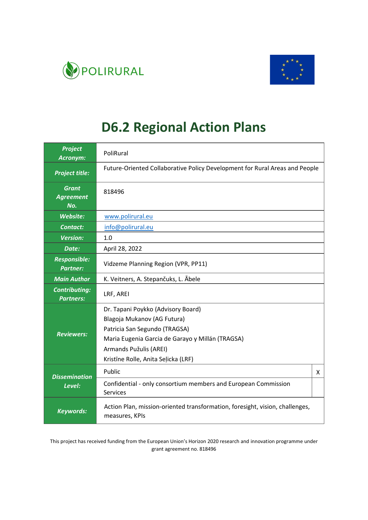



# **D6.2 Regional Action Plans**

| <b>Project</b><br>Acronym:               | PoliRural                                                                                                                                                                                                               |   |
|------------------------------------------|-------------------------------------------------------------------------------------------------------------------------------------------------------------------------------------------------------------------------|---|
| <b>Project title:</b>                    | Future-Oriented Collaborative Policy Development for Rural Areas and People                                                                                                                                             |   |
| <b>Grant</b><br><b>Agreement</b><br>No.  | 818496                                                                                                                                                                                                                  |   |
| Website:                                 | www.polirural.eu                                                                                                                                                                                                        |   |
| <b>Contact:</b>                          | info@polirural.eu                                                                                                                                                                                                       |   |
| <b>Version:</b>                          | 1.0                                                                                                                                                                                                                     |   |
| Date:                                    | April 28, 2022                                                                                                                                                                                                          |   |
| <b>Responsible:</b><br><b>Partner:</b>   | Vidzeme Planning Region (VPR, PP11)                                                                                                                                                                                     |   |
| <b>Main Author</b>                       | K. Veitners, A. Stepančuks, L. Ābele                                                                                                                                                                                    |   |
| <b>Contributing:</b><br><b>Partners:</b> | LRF, AREI                                                                                                                                                                                                               |   |
| <b>Reviewers:</b>                        | Dr. Tapani Poykko (Advisory Board)<br>Blagoja Mukanov (AG Futura)<br>Patricia San Segundo (TRAGSA)<br>Maria Eugenia Garcia de Garayo y Millán (TRAGSA)<br>Armands Pužulis (AREI)<br>Kristīne Rolle, Anita Seļicka (LRF) |   |
| <b>Dissemination</b>                     | Public                                                                                                                                                                                                                  | X |
| Level:                                   | Confidential - only consortium members and European Commission<br><b>Services</b>                                                                                                                                       |   |
| <b>Keywords:</b>                         | Action Plan, mission-oriented transformation, foresight, vision, challenges,<br>measures, KPIs                                                                                                                          |   |

This project has received funding from the European Union's Horizon 2020 research and innovation programme under grant agreement no. 818496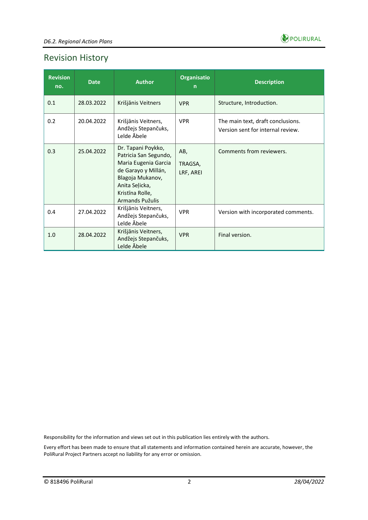

# Revision History

| <b>Revision</b><br>no. | <b>Date</b> | <b>Author</b>                                                                                                                                                          | <b>Organisatio</b><br>$\mathsf{n}$ | <b>Description</b>                                                     |
|------------------------|-------------|------------------------------------------------------------------------------------------------------------------------------------------------------------------------|------------------------------------|------------------------------------------------------------------------|
| 0.1                    | 28.03.2022  | Krišjānis Veitners                                                                                                                                                     | <b>VPR</b>                         | Structure, Introduction.                                               |
| 0.2                    | 20.04.2022  | Krišjānis Veitners,<br>Andžejs Stepančuks,<br>Lelde Äbele                                                                                                              | <b>VPR</b>                         | The main text, draft conclusions.<br>Version sent for internal review. |
| 0.3                    | 25.04.2022  | Dr. Tapani Poykko,<br>Patricia San Segundo,<br>Maria Eugenia Garcia<br>de Garayo y Millán,<br>Blagoja Mukanov,<br>Anita Selicka,<br>Kristīna Rolle,<br>Armands Pužulis | AB,<br>TRAGSA,<br>LRF, AREI        | Comments from reviewers.                                               |
| 0.4                    | 27.04.2022  | Krišjānis Veitners,<br>Andžejs Stepančuks,<br>Lelde Abele                                                                                                              | <b>VPR</b>                         | Version with incorporated comments.                                    |
| 1.0                    | 28.04.2022  | Krišjānis Veitners,<br>Andžejs Stepančuks,<br>Lelde Abele                                                                                                              | <b>VPR</b>                         | Final version.                                                         |

Responsibility for the information and views set out in this publication lies entirely with the authors.

Every effort has been made to ensure that all statements and information contained herein are accurate, however, the PoliRural Project Partners accept no liability for any error or omission.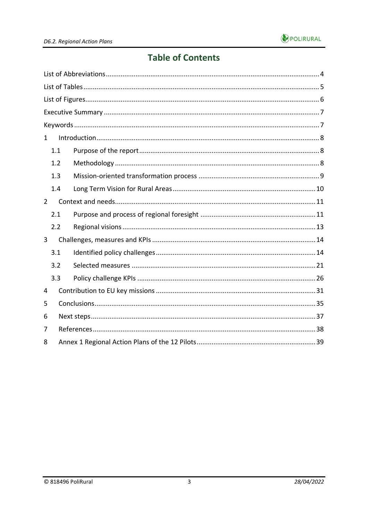

# **Table of Contents**

| $\mathbf{1}$   |     |  |  |  |  |  |  |  |
|----------------|-----|--|--|--|--|--|--|--|
|                | 1.1 |  |  |  |  |  |  |  |
|                | 1.2 |  |  |  |  |  |  |  |
|                | 1.3 |  |  |  |  |  |  |  |
|                | 1.4 |  |  |  |  |  |  |  |
| $\overline{2}$ |     |  |  |  |  |  |  |  |
|                | 2.1 |  |  |  |  |  |  |  |
|                | 2.2 |  |  |  |  |  |  |  |
| 3              |     |  |  |  |  |  |  |  |
|                | 3.1 |  |  |  |  |  |  |  |
|                | 3.2 |  |  |  |  |  |  |  |
|                | 3.3 |  |  |  |  |  |  |  |
| 4              |     |  |  |  |  |  |  |  |
| 5              |     |  |  |  |  |  |  |  |
| 6              |     |  |  |  |  |  |  |  |
| 7              |     |  |  |  |  |  |  |  |
| 8              |     |  |  |  |  |  |  |  |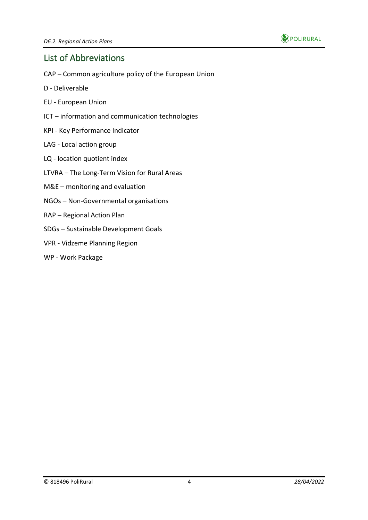

### <span id="page-3-0"></span>List of Abbreviations

- CAP Common agriculture policy of the European Union
- D Deliverable
- EU European Union
- ICT information and communication technologies
- KPI Key Performance Indicator
- LAG Local action group
- LQ location quotient index
- LTVRA The Long-Term Vision for Rural Areas
- M&E monitoring and evaluation
- NGOs Non-Governmental organisations
- RAP Regional Action Plan
- SDGs Sustainable Development Goals
- VPR Vidzeme Planning Region
- WP Work Package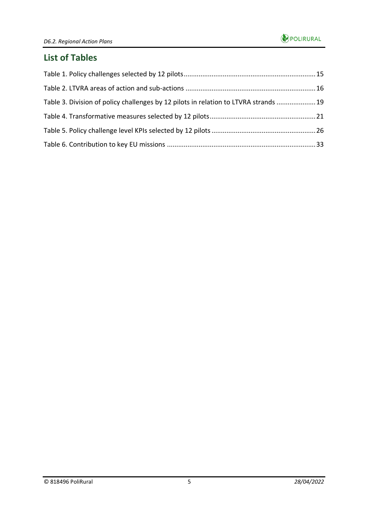### <span id="page-4-0"></span>**List of Tables**

| Table 3. Division of policy challenges by 12 pilots in relation to LTVRA strands  19 |  |
|--------------------------------------------------------------------------------------|--|
|                                                                                      |  |
|                                                                                      |  |
|                                                                                      |  |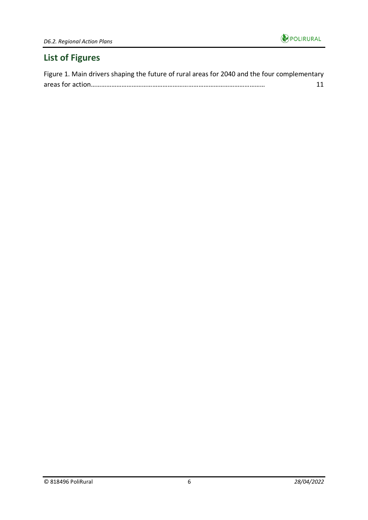

# <span id="page-5-0"></span>**List of Figures**

| Figure 1. Main drivers shaping the future of rural areas for 2040 and the four complementary |    |
|----------------------------------------------------------------------------------------------|----|
|                                                                                              | 11 |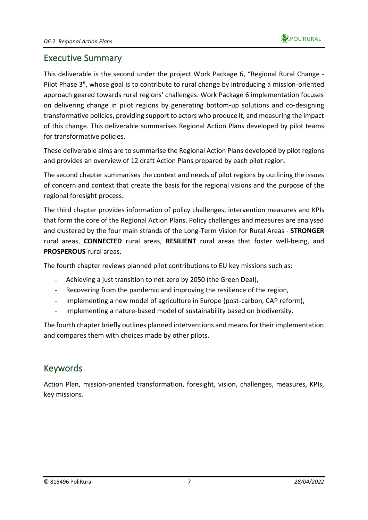

### <span id="page-6-0"></span>Executive Summary

This deliverable is the second under the project Work Package 6, "Regional Rural Change - Pilot Phase 3", whose goal is to contribute to rural change by introducing a mission-oriented approach geared towards rural regions' challenges. Work Package 6 implementation focuses on delivering change in pilot regions by generating bottom-up solutions and co-designing transformative policies, providing support to actors who produce it, and measuring the impact of this change. This deliverable summarises Regional Action Plans developed by pilot teams for transformative policies.

These deliverable aims are to summarise the Regional Action Plans developed by pilot regions and provides an overview of 12 draft Action Plans prepared by each pilot region.

The second chapter summarises the context and needs of pilot regions by outlining the issues of concern and context that create the basis for the regional visions and the purpose of the regional foresight process.

The third chapter provides information of policy challenges, intervention measures and KPIs that form the core of the Regional Action Plans. Policy challenges and measures are analysed and clustered by the four main strands of the Long-Term Vision for Rural Areas - **STRONGER** rural areas, **CONNECTED** rural areas, **RESILIENT** rural areas that foster well-being, and **PROSPEROUS** rural areas.

The fourth chapter reviews planned pilot contributions to EU key missions such as:

- Achieving a just transition to net-zero by 2050 (the Green Deal),
- Recovering from the pandemic and improving the resilience of the region,
- Implementing a new model of agriculture in Europe (post-carbon, CAP reform),
- Implementing a nature-based model of sustainability based on biodiversity.

The fourth chapter briefly outlines planned interventions and means for their implementation and compares them with choices made by other pilots.

# <span id="page-6-1"></span>Keywords

Action Plan, mission-oriented transformation, foresight, vision, challenges, measures, KPIs, key missions.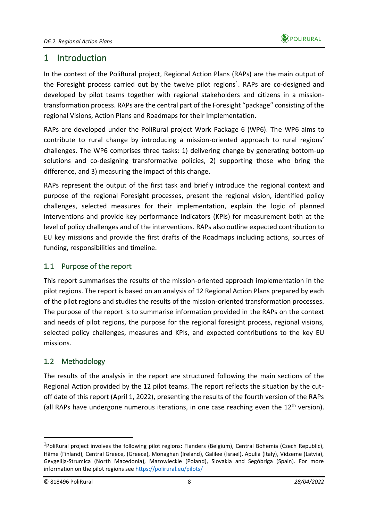

# <span id="page-7-0"></span>1 Introduction

In the context of the PoliRural project, Regional Action Plans (RAPs) are the main output of the Foresight process carried out by the twelve pilot regions<sup>1</sup>. RAPs are co-designed and developed by pilot teams together with regional stakeholders and citizens in a missiontransformation process. RAPs are the central part of the Foresight "package" consisting of the regional Visions, Action Plans and Roadmaps for their implementation.

RAPs are developed under the PoliRural project Work Package 6 (WP6). The WP6 aims to contribute to rural change by introducing a mission-oriented approach to rural regions' challenges. The WP6 comprises three tasks: 1) delivering change by generating bottom-up solutions and co-designing transformative policies, 2) supporting those who bring the difference, and 3) measuring the impact of this change.

RAPs represent the output of the first task and briefly introduce the regional context and purpose of the regional Foresight processes, present the regional vision, identified policy challenges, selected measures for their implementation, explain the logic of planned interventions and provide key performance indicators (KPIs) for measurement both at the level of policy challenges and of the interventions. RAPs also outline expected contribution to EU key missions and provide the first drafts of the Roadmaps including actions, sources of funding, responsibilities and timeline.

#### <span id="page-7-1"></span>1.1 Purpose of the report

This report summarises the results of the mission-oriented approach implementation in the pilot regions. The report is based on an analysis of 12 Regional Action Plans prepared by each of the pilot regions and studies the results of the mission-oriented transformation processes. The purpose of the report is to summarise information provided in the RAPs on the context and needs of pilot regions, the purpose for the regional foresight process, regional visions, selected policy challenges, measures and KPIs, and expected contributions to the key EU missions.

#### <span id="page-7-2"></span>1.2 Methodology

The results of the analysis in the report are structured following the main sections of the Regional Action provided by the 12 pilot teams. The report reflects the situation by the cutoff date of this report (April 1, 2022), presenting the results of the fourth version of the RAPs (all RAPs have undergone numerous iterations, in one case reaching even the  $12<sup>th</sup>$  version).

<sup>&</sup>lt;sup>1</sup>PoliRural project involves the following pilot regions: Flanders (Belgium), Central Bohemia (Czech Republic), Häme (Finland), Central Greece, (Greece), Monaghan (Ireland), Galilee (Israel), Apulia (Italy), Vidzeme (Latvia), Gevgelija-Strumica (North Macedonia), Mazowieckie (Poland), Slovakia and Segóbriga (Spain). For more information on the pilot regions see<https://polirural.eu/pilots/>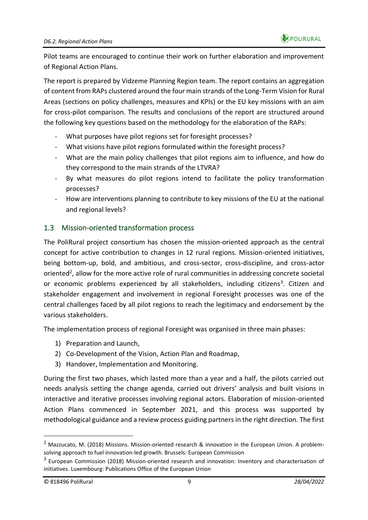Pilot teams are encouraged to continue their work on further elaboration and improvement of Regional Action Plans.

The report is prepared by Vidzeme Planning Region team. The report contains an aggregation of content from RAPs clustered around the four main strands of the Long-Term Vision for Rural Areas (sections on policy challenges, measures and KPIs) or the EU key missions with an aim for cross-pilot comparison. The results and conclusions of the report are structured around the following key questions based on the methodology for the elaboration of the RAPs:

- What purposes have pilot regions set for foresight processes?
- What visions have pilot regions formulated within the foresight process?
- What are the main policy challenges that pilot regions aim to influence, and how do they correspond to the main strands of the LTVRA?
- By what measures do pilot regions intend to facilitate the policy transformation processes?
- How are interventions planning to contribute to key missions of the EU at the national and regional levels?

#### <span id="page-8-0"></span>1.3 Mission-oriented transformation process

The PoliRural project consortium has chosen the mission-oriented approach as the central concept for active contribution to changes in 12 rural regions. Mission-oriented initiatives, being bottom-up, bold, and ambitious, and cross-sector, cross-discipline, and cross-actor oriented<sup>2</sup>, allow for the more active role of rural communities in addressing concrete societal or economic problems experienced by all stakeholders, including citizens<sup>3</sup>. Citizen and stakeholder engagement and involvement in regional Foresight processes was one of the central challenges faced by all pilot regions to reach the legitimacy and endorsement by the various stakeholders.

The implementation process of regional Foresight was organised in three main phases:

- 1) Preparation and Launch,
- 2) Co-Development of the Vision, Action Plan and Roadmap,
- 3) Handover, Implementation and Monitoring.

During the first two phases, which lasted more than a year and a half, the pilots carried out needs analysis setting the change agenda, carried out drivers' analysis and built visions in interactive and iterative processes involving regional actors. Elaboration of mission-oriented Action Plans commenced in September 2021, and this process was supported by methodological guidance and a review process guiding partners in the right direction. The first

<sup>&</sup>lt;sup>2</sup> Mazzucato, M. (2018) Missions. Mission-oriented research & innovation in the European Union. A problemsolving approach to fuel innovation-led growth. Brussels: European Commission

<sup>&</sup>lt;sup>3</sup> European Commission (2018) Mission-oriented research and innovation: Inventory and characterisation of initiatives. Luxembourg: Publications Office of the European Union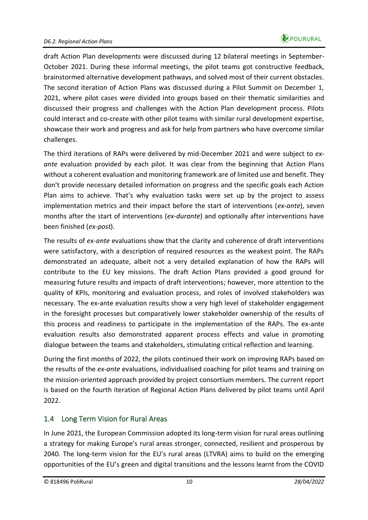draft Action Plan developments were discussed during 12 bilateral meetings in September-October 2021. During these informal meetings, the pilot teams got constructive feedback, brainstormed alternative development pathways, and solved most of their current obstacles. The second iteration of Action Plans was discussed during a Pilot Summit on December 1, 2021, where pilot cases were divided into groups based on their thematic similarities and discussed their progress and challenges with the Action Plan development process. Pilots could interact and co-create with other pilot teams with similar rural development expertise, showcase their work and progress and ask for help from partners who have overcome similar challenges.

The third iterations of RAPs were delivered by mid-December 2021 and were subject to *exante* evaluation provided by each pilot. It was clear from the beginning that Action Plans without a coherent evaluation and monitoring framework are of limited use and benefit. They don't provide necessary detailed information on progress and the specific goals each Action Plan aims to achieve. That's why evaluation tasks were set up by the project to assess implementation metrics and their impact before the start of interventions (*ex-ante*), seven months after the start of interventions (*ex-durante*) and optionally after interventions have been finished (*ex-post*).

The results of *ex-ante* evaluations show that the clarity and coherence of draft interventions were satisfactory, with a description of required resources as the weakest point. The RAPs demonstrated an adequate, albeit not a very detailed explanation of how the RAPs will contribute to the EU key missions. The draft Action Plans provided a good ground for measuring future results and impacts of draft interventions; however, more attention to the quality of KPIs, monitoring and evaluation process, and roles of involved stakeholders was necessary. The ex-ante evaluation results show a very high level of stakeholder engagement in the foresight processes but comparatively lower stakeholder ownership of the results of this process and readiness to participate in the implementation of the RAPs. The ex-ante evaluation results also demonstrated apparent process effects and value in promoting dialogue between the teams and stakeholders, stimulating critical reflection and learning.

During the first months of 2022, the pilots continued their work on improving RAPs based on the results of the *ex-ante* evaluations, individualised coaching for pilot teams and training on the mission-oriented approach provided by project consortium members. The current report is based on the fourth iteration of Regional Action Plans delivered by pilot teams until April 2022.

#### <span id="page-9-0"></span>1.4 Long Term Vision for Rural Areas

In June 2021, the European Commission adopted its long-term vision for rural areas outlining a strategy for making Europe's rural areas stronger, connected, resilient and prosperous by 2040. The long-term vision for the EU's rural areas (LTVRA) aims to build on the emerging opportunities of the EU's green and digital transitions and the lessons learnt from the COVID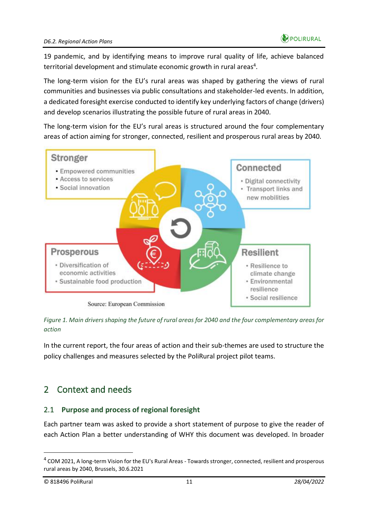

19 pandemic, and by identifying means to improve rural quality of life, achieve balanced territorial development and stimulate economic growth in rural areas<sup>4</sup>.

The long-term vision for the EU's rural areas was shaped by gathering the views of rural communities and businesses via public consultations and stakeholder-led events. In addition, a dedicated foresight exercise conducted to identify key underlying factors of change (drivers) and develop scenarios illustrating the possible future of rural areas in 2040.

The long-term vision for the EU's rural areas is structured around the four complementary areas of action aiming for stronger, connected, resilient and prosperous rural areas by 2040.



<span id="page-10-2"></span>*Figure 1. Main drivers shaping the future of rural areas for 2040 and the four complementary areas for action*

In the current report, the four areas of action and their sub-themes are used to structure the policy challenges and measures selected by the PoliRural project pilot teams.

# <span id="page-10-0"></span>2 Context and needs

#### <span id="page-10-1"></span>2.1 **Purpose and process of regional foresight**

Each partner team was asked to provide a short statement of purpose to give the reader of each Action Plan a better understanding of WHY this document was developed. In broader

<sup>&</sup>lt;sup>4</sup> COM 2021, A long-term Vision for the EU's Rural Areas - Towards stronger, connected, resilient and prosperous rural areas by 2040, Brussels, 30.6.2021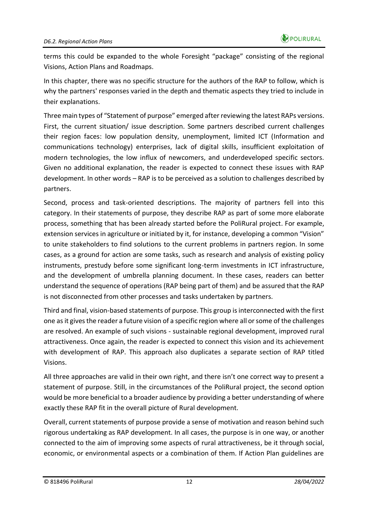terms this could be expanded to the whole Foresight "package" consisting of the regional Visions, Action Plans and Roadmaps.

In this chapter, there was no specific structure for the authors of the RAP to follow, which is why the partners' responses varied in the depth and thematic aspects they tried to include in their explanations.

Three main types of "Statement of purpose" emerged after reviewing the latest RAPs versions. First, the current situation/ issue description. Some partners described current challenges their region faces: low population density, unemployment, limited ICT (Information and communications technology) enterprises, lack of digital skills, insufficient exploitation of modern technologies, the low influx of newcomers, and underdeveloped specific sectors. Given no additional explanation, the reader is expected to connect these issues with RAP development. In other words – RAP is to be perceived as a solution to challenges described by partners.

Second, process and task-oriented descriptions. The majority of partners fell into this category. In their statements of purpose, they describe RAP as part of some more elaborate process, something that has been already started before the PoliRural project. For example, extension services in agriculture or initiated by it, for instance, developing a common "Vision" to unite stakeholders to find solutions to the current problems in partners region. In some cases, as a ground for action are some tasks, such as research and analysis of existing policy instruments, prestudy before some significant long-term investments in ICT infrastructure, and the development of umbrella planning document. In these cases, readers can better understand the sequence of operations (RAP being part of them) and be assured that the RAP is not disconnected from other processes and tasks undertaken by partners.

Third and final, vision-based statements of purpose. This group is interconnected with the first one as it gives the reader a future vision of a specific region where all or some of the challenges are resolved. An example of such visions - sustainable regional development, improved rural attractiveness. Once again, the reader is expected to connect this vision and its achievement with development of RAP. This approach also duplicates a separate section of RAP titled Visions.

All three approaches are valid in their own right, and there isn't one correct way to present a statement of purpose. Still, in the circumstances of the PoliRural project, the second option would be more beneficial to a broader audience by providing a better understanding of where exactly these RAP fit in the overall picture of Rural development.

Overall, current statements of purpose provide a sense of motivation and reason behind such rigorous undertaking as RAP development. In all cases, the purpose is in one way, or another connected to the aim of improving some aspects of rural attractiveness, be it through social, economic, or environmental aspects or a combination of them. If Action Plan guidelines are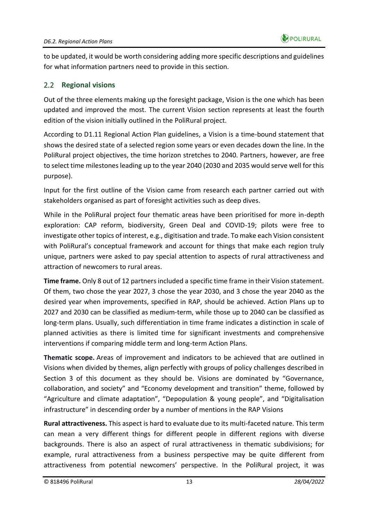to be updated, it would be worth considering adding more specific descriptions and guidelines for what information partners need to provide in this section.

#### <span id="page-12-0"></span>2.2 **Regional visions**

Out of the three elements making up the foresight package, Vision is the one which has been updated and improved the most. The current Vision section represents at least the fourth edition of the vision initially outlined in the PoliRural project.

According to D1.11 Regional Action Plan guidelines, a Vision is a time-bound statement that shows the desired state of a selected region some years or even decades down the line. In the PoliRural project objectives, the time horizon stretches to 2040. Partners, however, are free to select time milestones leading up to the year 2040 (2030 and 2035 would serve well for this purpose).

Input for the first outline of the Vision came from research each partner carried out with stakeholders organised as part of foresight activities such as deep dives.

While in the PoliRural project four thematic areas have been prioritised for more in-depth exploration: CAP reform, biodiversity, Green Deal and COVID-19; pilots were free to investigate other topics of interest, e.g., digitisation and trade. To make each Vision consistent with PoliRural's conceptual framework and account for things that make each region truly unique, partners were asked to pay special attention to aspects of rural attractiveness and attraction of newcomers to rural areas.

**Time frame.** Only 8 out of 12 partners included a specific time frame in their Vision statement. Of them, two chose the year 2027, 3 chose the year 2030, and 3 chose the year 2040 as the desired year when improvements, specified in RAP, should be achieved. Action Plans up to 2027 and 2030 can be classified as medium-term, while those up to 2040 can be classified as long-term plans. Usually, such differentiation in time frame indicates a distinction in scale of planned activities as there is limited time for significant investments and comprehensive interventions if comparing middle term and long-term Action Plans.

**Thematic scope.** Areas of improvement and indicators to be achieved that are outlined in Visions when divided by themes, align perfectly with groups of policy challenges described in Section 3 of this document as they should be. Visions are dominated by "Governance, collaboration, and society" and "Economy development and transition" theme, followed by "Agriculture and climate adaptation", "Depopulation & young people", and "Digitalisation infrastructure" in descending order by a number of mentions in the RAP Visions

**Rural attractiveness.** This aspect is hard to evaluate due to its multi-faceted nature. This term can mean a very different things for different people in different regions with diverse backgrounds. There is also an aspect of rural attractiveness in thematic subdivisions; for example, rural attractiveness from a business perspective may be quite different from attractiveness from potential newcomers' perspective. In the PoliRural project, it was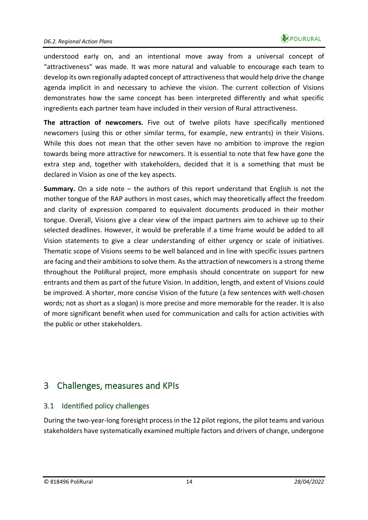understood early on, and an intentional move away from a universal concept of "attractiveness" was made. It was more natural and valuable to encourage each team to develop its own regionally adapted concept of attractiveness that would help drive the change agenda implicit in and necessary to achieve the vision. The current collection of Visions demonstrates how the same concept has been interpreted differently and what specific ingredients each partner team have included in their version of Rural attractiveness.

**The attraction of newcomers.** Five out of twelve pilots have specifically mentioned newcomers (using this or other similar terms, for example, new entrants) in their Visions. While this does not mean that the other seven have no ambition to improve the region towards being more attractive for newcomers. It is essential to note that few have gone the extra step and, together with stakeholders, decided that it is a something that must be declared in Vision as one of the key aspects.

**Summary.** On a side note – the authors of this report understand that English is not the mother tongue of the RAP authors in most cases, which may theoretically affect the freedom and clarity of expression compared to equivalent documents produced in their mother tongue. Overall, Visions give a clear view of the impact partners aim to achieve up to their selected deadlines. However, it would be preferable if a time frame would be added to all Vision statements to give a clear understanding of either urgency or scale of initiatives. Thematic scope of Visions seems to be well balanced and in line with specific issues partners are facing and their ambitions to solve them. As the attraction of newcomers is a strong theme throughout the PoliRural project, more emphasis should concentrate on support for new entrants and them as part of the future Vision. In addition, length, and extent of Visions could be improved. A shorter, more concise Vision of the future (a few sentences with well-chosen words; not as short as a slogan) is more precise and more memorable for the reader. It is also of more significant benefit when used for communication and calls for action activities with the public or other stakeholders.

# <span id="page-13-0"></span>3 Challenges, measures and KPIs

#### <span id="page-13-1"></span>3.1 Identified policy challenges

During the two-year-long foresight process in the 12 pilot regions, the pilot teams and various stakeholders have systematically examined multiple factors and drivers of change, undergone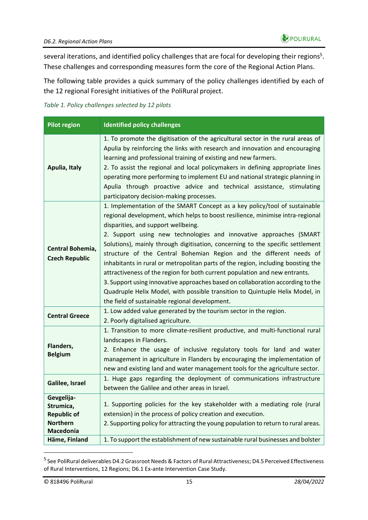several iterations, and identified policy challenges that are focal for developing their regions<sup>5</sup>. These challenges and corresponding measures form the core of the Regional Action Plans.

The following table provides a quick summary of the policy challenges identified by each of the 12 regional Foresight initiatives of the PoliRural project.

#### <span id="page-14-0"></span>*Table 1. Policy challenges selected by 12 pilots*

| <b>Pilot region</b>                                                                                   | <b>Identified policy challenges</b>                                                                                                                                                                                                                                                                                                                                                                                                                                                                                                                                                                                                                                                                                                                                                                                      |
|-------------------------------------------------------------------------------------------------------|--------------------------------------------------------------------------------------------------------------------------------------------------------------------------------------------------------------------------------------------------------------------------------------------------------------------------------------------------------------------------------------------------------------------------------------------------------------------------------------------------------------------------------------------------------------------------------------------------------------------------------------------------------------------------------------------------------------------------------------------------------------------------------------------------------------------------|
| Apulia, Italy                                                                                         | 1. To promote the digitisation of the agricultural sector in the rural areas of<br>Apulia by reinforcing the links with research and innovation and encouraging<br>learning and professional training of existing and new farmers.<br>2. To assist the regional and local policymakers in defining appropriate lines<br>operating more performing to implement EU and national strategic planning in<br>Apulia through proactive advice and technical assistance, stimulating<br>participatory decision-making processes.                                                                                                                                                                                                                                                                                                |
| Central Bohemia,<br><b>Czech Republic</b>                                                             | 1. Implementation of the SMART Concept as a key policy/tool of sustainable<br>regional development, which helps to boost resilience, minimise intra-regional<br>disparities, and support wellbeing.<br>2. Support using new technologies and innovative approaches (SMART<br>Solutions), mainly through digitisation, concerning to the specific settlement<br>structure of the Central Bohemian Region and the different needs of<br>inhabitants in rural or metropolitan parts of the region, including boosting the<br>attractiveness of the region for both current population and new entrants.<br>3. Support using innovative approaches based on collaboration according to the<br>Quadruple Helix Model, with possible transition to Quintuple Helix Model, in<br>the field of sustainable regional development. |
| <b>Central Greece</b>                                                                                 | 1. Low added value generated by the tourism sector in the region.<br>2. Poorly digitalised agriculture.                                                                                                                                                                                                                                                                                                                                                                                                                                                                                                                                                                                                                                                                                                                  |
| Flanders,<br><b>Belgium</b>                                                                           | 1. Transition to more climate-resilient productive, and multi-functional rural<br>landscapes in Flanders.<br>2. Enhance the usage of inclusive regulatory tools for land and water<br>management in agriculture in Flanders by encouraging the implementation of<br>new and existing land and water management tools for the agriculture sector.                                                                                                                                                                                                                                                                                                                                                                                                                                                                         |
| Galilee, Israel                                                                                       | 1. Huge gaps regarding the deployment of communications infrastructure<br>between the Galilee and other areas in Israel.                                                                                                                                                                                                                                                                                                                                                                                                                                                                                                                                                                                                                                                                                                 |
| Gevgelija-<br>Strumica,<br><b>Republic of</b><br><b>Northern</b><br><b>Macedonia</b><br>Häme, Finland | 1. Supporting policies for the key stakeholder with a mediating role (rural<br>extension) in the process of policy creation and execution.<br>2. Supporting policy for attracting the young population to return to rural areas.<br>1. To support the establishment of new sustainable rural businesses and bolster                                                                                                                                                                                                                                                                                                                                                                                                                                                                                                      |

<sup>&</sup>lt;sup>5</sup> See PoliRural deliverables D4.2 Grassroot Needs & Factors of Rural Attractiveness; D4.5 Perceived Effectiveness of Rural Interventions, 12 Regions; D6.1 Ex-ante Intervention Case Study.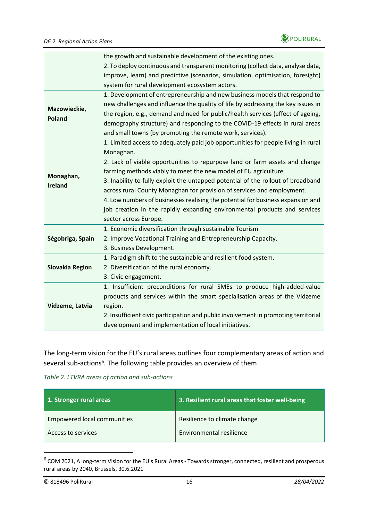

|                        | the growth and sustainable development of the existing ones.                        |
|------------------------|-------------------------------------------------------------------------------------|
|                        | 2. To deploy continuous and transparent monitoring (collect data, analyse data,     |
|                        | improve, learn) and predictive (scenarios, simulation, optimisation, foresight)     |
|                        | system for rural development ecosystem actors.                                      |
|                        | 1. Development of entrepreneurship and new business models that respond to          |
|                        | new challenges and influence the quality of life by addressing the key issues in    |
| Mazowieckie,           | the region, e.g., demand and need for public/health services (effect of ageing,     |
| <b>Poland</b>          | demography structure) and responding to the COVID-19 effects in rural areas         |
|                        | and small towns (by promoting the remote work, services).                           |
|                        | 1. Limited access to adequately paid job opportunities for people living in rural   |
|                        | Monaghan.                                                                           |
|                        | 2. Lack of viable opportunities to repurpose land or farm assets and change         |
|                        | farming methods viably to meet the new model of EU agriculture.                     |
| Monaghan,              | 3. Inability to fully exploit the untapped potential of the rollout of broadband    |
| <b>Ireland</b>         | across rural County Monaghan for provision of services and employment.              |
|                        | 4. Low numbers of businesses realising the potential for business expansion and     |
|                        | job creation in the rapidly expanding environmental products and services           |
|                        |                                                                                     |
|                        | sector across Europe.                                                               |
|                        | 1. Economic diversification through sustainable Tourism.                            |
| Ségobriga, Spain       | 2. Improve Vocational Training and Entrepreneurship Capacity.                       |
|                        | 3. Business Development.                                                            |
|                        | 1. Paradigm shift to the sustainable and resilient food system.                     |
| <b>Slovakia Region</b> | 2. Diversification of the rural economy.                                            |
|                        | 3. Civic engagement.                                                                |
|                        | 1. Insufficient preconditions for rural SMEs to produce high-added-value            |
|                        | products and services within the smart specialisation areas of the Vidzeme          |
| Vidzeme, Latvia        | region.                                                                             |
|                        | 2. Insufficient civic participation and public involvement in promoting territorial |
|                        | development and implementation of local initiatives.                                |
|                        |                                                                                     |

The long-term vision for the EU's rural areas outlines four complementary areas of action and several sub-actions<sup>6</sup>. The following table provides an overview of them.

<span id="page-15-0"></span>*Table 2. LTVRA areas of action and sub-actions*

| 1. Stronger rural areas            | 3. Resilient rural areas that foster well-being |
|------------------------------------|-------------------------------------------------|
| <b>Empowered local communities</b> | Resilience to climate change                    |
| Access to services                 | Environmental resilience                        |

<sup>&</sup>lt;sup>6</sup> COM 2021, A long-term Vision for the EU's Rural Areas - Towards stronger, connected, resilient and prosperous rural areas by 2040, Brussels, 30.6.2021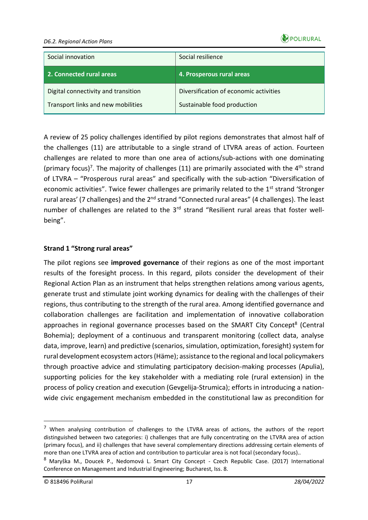

#### *D6.2. Regional Action Plans*

| Social innovation                                                         | Social resilience                                                     |
|---------------------------------------------------------------------------|-----------------------------------------------------------------------|
| 2. Connected rural areas                                                  | 4. Prosperous rural areas                                             |
| Digital connectivity and transition<br>Transport links and new mobilities | Diversification of economic activities<br>Sustainable food production |

A review of 25 policy challenges identified by pilot regions demonstrates that almost half of the challenges (11) are attributable to a single strand of LTVRA areas of action. Fourteen challenges are related to more than one area of actions/sub-actions with one dominating (primary focus)<sup>7</sup>. The majority of challenges (11) are primarily associated with the  $4<sup>th</sup>$  strand of LTVRA – "Prosperous rural areas" and specifically with the sub-action "Diversification of economic activities". Twice fewer challenges are primarily related to the 1<sup>st</sup> strand 'Stronger rural areas' (7 challenges) and the 2<sup>nd</sup> strand "Connected rural areas" (4 challenges). The least number of challenges are related to the 3<sup>rd</sup> strand "Resilient rural areas that foster wellbeing".

#### **Strand 1 "Strong rural areas"**

The pilot regions see **improved governance** of their regions as one of the most important results of the foresight process. In this regard, pilots consider the development of their Regional Action Plan as an instrument that helps strengthen relations among various agents, generate trust and stimulate joint working dynamics for dealing with the challenges of their regions, thus contributing to the strength of the rural area. Among identified governance and collaboration challenges are facilitation and implementation of innovative collaboration approaches in regional governance processes based on the SMART City Concept<sup>8</sup> (Central Bohemia); deployment of a continuous and transparent monitoring (collect data, analyse data, improve, learn) and predictive (scenarios, simulation, optimization, foresight) system for rural development ecosystem actors (Häme); assistance to the regional and local policymakers through proactive advice and stimulating participatory decision-making processes (Apulia), supporting policies for the key stakeholder with a mediating role (rural extension) in the process of policy creation and execution (Gevgelija-Strumica); efforts in introducing a nationwide civic engagement mechanism embedded in the constitutional law as precondition for

 $<sup>7</sup>$  When analysing contribution of challenges to the LTVRA areas of actions, the authors of the report</sup> distinguished between two categories: i) challenges that are fully concentrating on the LTVRA area of action (primary focus), and ii) challenges that have several complementary directions addressing certain elements of more than one LTVRA area of action and contribution to particular area is not focal (secondary focus)..

<sup>8</sup> Maryška M., Doucek P., Nedomová L. Smart City Concept - Czech Republic Case. (2017) International Conference on Management and Industrial Engineering; Bucharest, Iss. 8.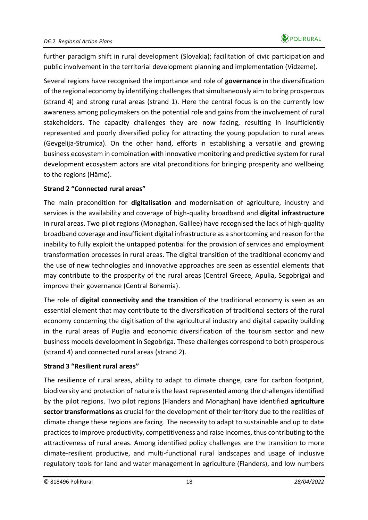further paradigm shift in rural development (Slovakia); facilitation of civic participation and public involvement in the territorial development planning and implementation (Vidzeme).

Several regions have recognised the importance and role of **governance** in the diversification of the regional economy by identifying challenges that simultaneously aim to bring prosperous (strand 4) and strong rural areas (strand 1). Here the central focus is on the currently low awareness among policymakers on the potential role and gains from the involvement of rural stakeholders. The capacity challenges they are now facing, resulting in insufficiently represented and poorly diversified policy for attracting the young population to rural areas (Gevgelija-Strumica). On the other hand, efforts in establishing a versatile and growing business ecosystem in combination with innovative monitoring and predictive system for rural development ecosystem actors are vital preconditions for bringing prosperity and wellbeing to the regions (Häme).

#### **Strand 2 "Connected rural areas"**

The main precondition for **digitalisation** and modernisation of agriculture, industry and services is the availability and coverage of high-quality broadband and **digital infrastructure** in rural areas. Two pilot regions (Monaghan, Galilee) have recognised the lack of high-quality broadband coverage and insufficient digital infrastructure as a shortcoming and reason for the inability to fully exploit the untapped potential for the provision of services and employment transformation processes in rural areas. The digital transition of the traditional economy and the use of new technologies and innovative approaches are seen as essential elements that may contribute to the prosperity of the rural areas (Central Greece, Apulia, Segobriga) and improve their governance (Central Bohemia).

The role of **digital connectivity and the transition** of the traditional economy is seen as an essential element that may contribute to the diversification of traditional sectors of the rural economy concerning the digitisation of the agricultural industry and digital capacity building in the rural areas of Puglia and economic diversification of the tourism sector and new business models development in Segobriga. These challenges correspond to both prosperous (strand 4) and connected rural areas (strand 2).

#### **Strand 3 "Resilient rural areas"**

The resilience of rural areas, ability to adapt to climate change, care for carbon footprint, biodiversity and protection of nature is the least represented among the challenges identified by the pilot regions. Two pilot regions (Flanders and Monaghan) have identified **agriculture sector transformations** as crucial for the development of their territory due to the realities of climate change these regions are facing. The necessity to adapt to sustainable and up to date practices to improve productivity, competitiveness and raise incomes, thus contributing to the attractiveness of rural areas. Among identified policy challenges are the transition to more climate-resilient productive, and multi-functional rural landscapes and usage of inclusive regulatory tools for land and water management in agriculture (Flanders), and low numbers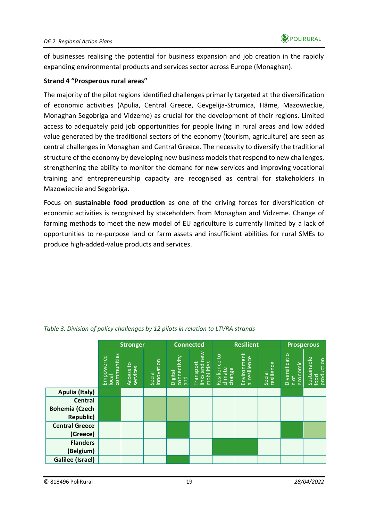of businesses realising the potential for business expansion and job creation in the rapidly expanding environmental products and services sector across Europe (Monaghan).

#### **Strand 4 "Prosperous rural areas"**

The majority of the pilot regions identified challenges primarily targeted at the diversification of economic activities (Apulia, Central Greece, Gevgelija-Strumica, Häme, Mazowieckie, Monaghan Segobriga and Vidzeme) as crucial for the development of their regions. Limited access to adequately paid job opportunities for people living in rural areas and low added value generated by the traditional sectors of the economy (tourism, agriculture) are seen as central challenges in Monaghan and Central Greece. The necessity to diversify the traditional structure of the economy by developing new business models that respond to new challenges, strengthening the ability to monitor the demand for new services and improving vocational training and entrepreneurship capacity are recognised as central for stakeholders in Mazowieckie and Segobriga.

Focus on **sustainable food production** as one of the driving forces for diversification of economic activities is recognised by stakeholders from Monaghan and Vidzeme. Change of farming methods to meet the new model of EU agriculture is currently limited by a lack of opportunities to re-purpose land or farm assets and insufficient abilities for rural SMEs to produce high-added-value products and services.

|                         | <b>Stronger</b>                   |                       |                      | <b>Connected</b>               |                                               |                                    | <b>Resilient</b><br><b>Prosperous</b> |                      |                            |                                   |
|-------------------------|-----------------------------------|-----------------------|----------------------|--------------------------------|-----------------------------------------------|------------------------------------|---------------------------------------|----------------------|----------------------------|-----------------------------------|
|                         | communities<br>Empowered<br>local | Access to<br>services | innovation<br>Social | connectivity<br>and<br>Digital | new<br>Transport<br>links and n<br>mobilities | Resilience to<br>climate<br>change | Environment<br>al resilience          | resilience<br>Social | Diversificatio<br>economic | Sustainable<br>food<br>production |
| <b>Apulia (Italy)</b>   |                                   |                       |                      |                                |                                               |                                    |                                       |                      |                            |                                   |
| Central                 |                                   |                       |                      |                                |                                               |                                    |                                       |                      |                            |                                   |
| <b>Bohemia (Czech</b>   |                                   |                       |                      |                                |                                               |                                    |                                       |                      |                            |                                   |
| <b>Republic)</b>        |                                   |                       |                      |                                |                                               |                                    |                                       |                      |                            |                                   |
| <b>Central Greece</b>   |                                   |                       |                      |                                |                                               |                                    |                                       |                      |                            |                                   |
| (Greece)                |                                   |                       |                      |                                |                                               |                                    |                                       |                      |                            |                                   |
| <b>Flanders</b>         |                                   |                       |                      |                                |                                               |                                    |                                       |                      |                            |                                   |
| (Belgium)               |                                   |                       |                      |                                |                                               |                                    |                                       |                      |                            |                                   |
| <b>Galilee (Israel)</b> |                                   |                       |                      |                                |                                               |                                    |                                       |                      |                            |                                   |

<span id="page-18-0"></span>*Table 3. Division of policy challenges by 12 pilots in relation to LTVRA strands*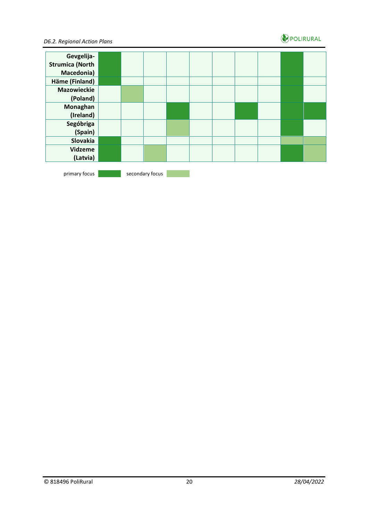

#### *D6.2. Regional Action Plans*

| Gevgelija-             |  |                 |  |  |  |  |
|------------------------|--|-----------------|--|--|--|--|
| <b>Strumica (North</b> |  |                 |  |  |  |  |
| Macedonia)             |  |                 |  |  |  |  |
| Häme (Finland)         |  |                 |  |  |  |  |
| <b>Mazowieckie</b>     |  |                 |  |  |  |  |
| (Poland)               |  |                 |  |  |  |  |
| Monaghan               |  |                 |  |  |  |  |
| (Ireland)              |  |                 |  |  |  |  |
| Segóbriga              |  |                 |  |  |  |  |
| (Spain)                |  |                 |  |  |  |  |
| Slovakia               |  |                 |  |  |  |  |
| <b>Vidzeme</b>         |  |                 |  |  |  |  |
| (Latvia)               |  |                 |  |  |  |  |
|                        |  |                 |  |  |  |  |
| primary focus          |  | secondary focus |  |  |  |  |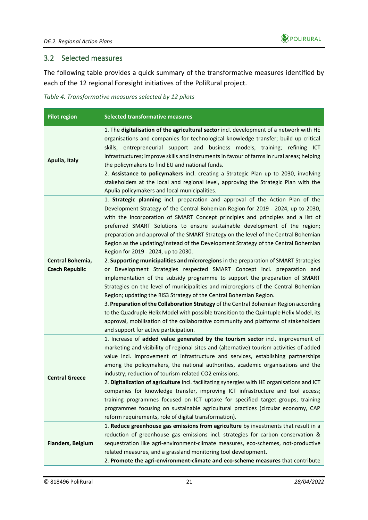

#### <span id="page-20-0"></span>3.2 Selected measures

The following table provides a quick summary of the transformative measures identified by each of the 12 regional Foresight initiatives of the PoliRural project.

<span id="page-20-1"></span>*Table 4. Transformative measures selected by 12 pilots*

| <b>Pilot region</b>                       | <b>Selected transformative measures</b>                                                                                                                                                                                                                                                                                                                                                                                                                                                                                                                                                                                                                                                                                                                                                                                                                                                                                                                                                                                                                                                                                                                                                                                                                                                   |
|-------------------------------------------|-------------------------------------------------------------------------------------------------------------------------------------------------------------------------------------------------------------------------------------------------------------------------------------------------------------------------------------------------------------------------------------------------------------------------------------------------------------------------------------------------------------------------------------------------------------------------------------------------------------------------------------------------------------------------------------------------------------------------------------------------------------------------------------------------------------------------------------------------------------------------------------------------------------------------------------------------------------------------------------------------------------------------------------------------------------------------------------------------------------------------------------------------------------------------------------------------------------------------------------------------------------------------------------------|
| Apulia, Italy                             | 1. The digitalisation of the agricultural sector incl. development of a network with HE<br>organisations and companies for technological knowledge transfer; build up critical<br>skills, entrepreneurial support and business models, training; refining ICT<br>infrastructures; improve skills and instruments in favour of farms in rural areas; helping<br>the policymakers to find EU and national funds.<br>2. Assistance to policymakers incl. creating a Strategic Plan up to 2030, involving<br>stakeholders at the local and regional level, approving the Strategic Plan with the<br>Apulia policymakers and local municipalities.                                                                                                                                                                                                                                                                                                                                                                                                                                                                                                                                                                                                                                             |
| Central Bohemia,<br><b>Czech Republic</b> | 1. Strategic planning incl. preparation and approval of the Action Plan of the<br>Development Strategy of the Central Bohemian Region for 2019 - 2024, up to 2030,<br>with the incorporation of SMART Concept principles and principles and a list of<br>preferred SMART Solutions to ensure sustainable development of the region;<br>preparation and approval of the SMART Strategy on the level of the Central Bohemian<br>Region as the updating/instead of the Development Strategy of the Central Bohemian<br>Region for 2019 - 2024, up to 2030.<br>2. Supporting municipalities and microregions in the preparation of SMART Strategies<br>or Development Strategies respected SMART Concept incl. preparation and<br>implementation of the subsidy programme to support the preparation of SMART<br>Strategies on the level of municipalities and microregions of the Central Bohemian<br>Region; updating the RIS3 Strategy of the Central Bohemian Region.<br>3. Preparation of the Collaboration Strategy of the Central Bohemian Region according<br>to the Quadruple Helix Model with possible transition to the Quintuple Helix Model, its<br>approval, mobilisation of the collaborative community and platforms of stakeholders<br>and support for active participation. |
| <b>Central Greece</b>                     | 1. Increase of added value generated by the tourism sector incl. improvement of<br>marketing and visibility of regional sites and (alternative) tourism activities of added<br>value incl. improvement of infrastructure and services, establishing partnerships<br>among the policymakers, the national authorities, academic organisations and the<br>industry; reduction of tourism-related CO2 emissions.<br>2. Digitalization of agriculture incl. facilitating synergies with HE organisations and ICT<br>companies for knowledge transfer, improving ICT infrastructure and tool access;<br>training programmes focused on ICT uptake for specified target groups; training<br>programmes focusing on sustainable agricultural practices (circular economy, CAP<br>reform requirements, role of digital transformation).                                                                                                                                                                                                                                                                                                                                                                                                                                                           |
| <b>Flanders, Belgium</b>                  | 1. Reduce greenhouse gas emissions from agriculture by investments that result in a<br>reduction of greenhouse gas emissions incl. strategies for carbon conservation &<br>sequestration like agri-environment-climate measures, eco-schemes, not-productive<br>related measures, and a grassland monitoring tool development.<br>2. Promote the agri-environment-climate and eco-scheme measures that contribute                                                                                                                                                                                                                                                                                                                                                                                                                                                                                                                                                                                                                                                                                                                                                                                                                                                                         |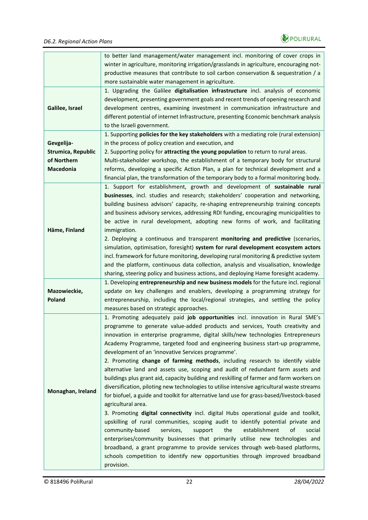

|                           | to better land management/water management incl. monitoring of cover crops in              |  |  |  |  |  |
|---------------------------|--------------------------------------------------------------------------------------------|--|--|--|--|--|
|                           |                                                                                            |  |  |  |  |  |
|                           | winter in agriculture, monitoring irrigation/grasslands in agriculture, encouraging not-   |  |  |  |  |  |
|                           | productive measures that contribute to soil carbon conservation & sequestration / a        |  |  |  |  |  |
|                           | more sustainable water management in agriculture.                                          |  |  |  |  |  |
|                           | 1. Upgrading the Galilee digitalisation infrastructure incl. analysis of economic          |  |  |  |  |  |
|                           | development, presenting government goals and recent trends of opening research and         |  |  |  |  |  |
| Galilee, Israel           | development centres, examining investment in communication infrastructure and              |  |  |  |  |  |
|                           | different potential of internet Infrastructure, presenting Economic benchmark analysis     |  |  |  |  |  |
|                           | to the Israeli government.                                                                 |  |  |  |  |  |
|                           | 1. Supporting policies for the key stakeholders with a mediating role (rural extension)    |  |  |  |  |  |
| Gevgelija-                | in the process of policy creation and execution, and                                       |  |  |  |  |  |
| <b>Strumica, Republic</b> | 2. Supporting policy for attracting the young population to return to rural areas.         |  |  |  |  |  |
| of Northern               | Multi-stakeholder workshop, the establishment of a temporary body for structural           |  |  |  |  |  |
| Macedonia                 | reforms, developing a specific Action Plan, a plan for technical development and a         |  |  |  |  |  |
|                           | financial plan, the transformation of the temporary body to a formal monitoring body.      |  |  |  |  |  |
|                           | 1. Support for establishment, growth and development of sustainable rural                  |  |  |  |  |  |
|                           | businesses, incl. studies and research; stakeholders' cooperation and networking,          |  |  |  |  |  |
|                           | building business advisors' capacity, re-shaping entrepreneurship training concepts        |  |  |  |  |  |
|                           |                                                                                            |  |  |  |  |  |
|                           | and business advisory services, addressing RDI funding, encouraging municipalities to      |  |  |  |  |  |
|                           | be active in rural development, adopting new forms of work, and facilitating               |  |  |  |  |  |
| Häme, Finland             | immigration.                                                                               |  |  |  |  |  |
|                           | 2. Deploying a continuous and transparent monitoring and predictive (scenarios,            |  |  |  |  |  |
|                           | simulation, optimisation, foresight) system for rural development ecosystem actors         |  |  |  |  |  |
|                           | incl. framework for future monitoring, developing rural monitoring & predictive system     |  |  |  |  |  |
|                           | and the platform, continuous data collection, analysis and visualisation, knowledge        |  |  |  |  |  |
|                           | sharing, steering policy and business actions, and deploying Hame foresight academy.       |  |  |  |  |  |
|                           | 1. Developing entrepreneurship and new business models for the future incl. regional       |  |  |  |  |  |
| Mazowieckie,              | update on key challenges and enablers, developing a programming strategy for               |  |  |  |  |  |
| <b>Poland</b>             | entrepreneurship, including the local/regional strategies, and settling the policy         |  |  |  |  |  |
|                           | measures based on strategic approaches.                                                    |  |  |  |  |  |
|                           | 1. Promoting adequately paid job opportunities incl. innovation in Rural SME's             |  |  |  |  |  |
|                           | programme to generate value-added products and services, Youth creativity and              |  |  |  |  |  |
|                           | innovation in enterprise programme, digital skills/new technologies Entrepreneurs          |  |  |  |  |  |
|                           | Academy Programme, targeted food and engineering business start-up programme,              |  |  |  |  |  |
|                           | development of an 'innovative Services programme'.                                         |  |  |  |  |  |
|                           | 2. Promoting change of farming methods, including research to identify viable              |  |  |  |  |  |
|                           | alternative land and assets use, scoping and audit of redundant farm assets and            |  |  |  |  |  |
|                           | buildings plus grant aid, capacity building and reskilling of farmer and farm workers on   |  |  |  |  |  |
|                           | diversification, piloting new technologies to utilise intensive agricultural waste streams |  |  |  |  |  |
| Monaghan, Ireland         |                                                                                            |  |  |  |  |  |
|                           | for biofuel, a guide and toolkit for alternative land use for grass-based/livestock-based  |  |  |  |  |  |
|                           | agricultural area.                                                                         |  |  |  |  |  |
|                           | 3. Promoting digital connectivity incl. digital Hubs operational guide and toolkit,        |  |  |  |  |  |
|                           | upskilling of rural communities, scoping audit to identify potential private and           |  |  |  |  |  |
|                           | community-based<br>services,<br>the<br>establishment<br>οf<br>support<br>social            |  |  |  |  |  |
|                           | enterprises/community businesses that primarily utilise new technologies and               |  |  |  |  |  |
|                           | broadband, a grant programme to provide services through web-based platforms,              |  |  |  |  |  |
|                           |                                                                                            |  |  |  |  |  |
|                           | schools competition to identify new opportunities through improved broadband               |  |  |  |  |  |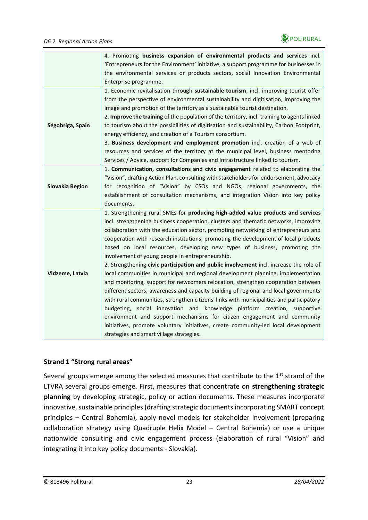

|                        | 4. Promoting business expansion of environmental products and services incl.                |  |  |  |  |  |
|------------------------|---------------------------------------------------------------------------------------------|--|--|--|--|--|
|                        | 'Entrepreneurs for the Environment' initiative, a support programme for businesses in       |  |  |  |  |  |
|                        | the environmental services or products sectors, social Innovation Environmental             |  |  |  |  |  |
|                        | Enterprise programme.                                                                       |  |  |  |  |  |
|                        | 1. Economic revitalisation through sustainable tourism, incl. improving tourist offer       |  |  |  |  |  |
|                        | from the perspective of environmental sustainability and digitisation, improving the        |  |  |  |  |  |
|                        | image and promotion of the territory as a sustainable tourist destination.                  |  |  |  |  |  |
|                        | 2. Improve the training of the population of the territory, incl. training to agents linked |  |  |  |  |  |
| Ségobriga, Spain       | to tourism about the possibilities of digitisation and sustainability, Carbon Footprint,    |  |  |  |  |  |
|                        | energy efficiency, and creation of a Tourism consortium.                                    |  |  |  |  |  |
|                        | 3. Business development and employment promotion incl. creation of a web of                 |  |  |  |  |  |
|                        | resources and services of the territory at the municipal level, business mentoring          |  |  |  |  |  |
|                        | Services / Advice, support for Companies and Infrastructure linked to tourism.              |  |  |  |  |  |
|                        | 1. Communication, consultations and civic engagement related to elaborating the             |  |  |  |  |  |
|                        | "Vision", drafting Action Plan, consulting with stakeholders for endorsement, advocacy      |  |  |  |  |  |
| <b>Slovakia Region</b> | for recognition of "Vision" by CSOs and NGOs, regional governments, the                     |  |  |  |  |  |
|                        | establishment of consultation mechanisms, and integration Vision into key policy            |  |  |  |  |  |
|                        | documents.                                                                                  |  |  |  |  |  |
|                        | 1. Strengthening rural SMEs for producing high-added value products and services            |  |  |  |  |  |
|                        | incl. strengthening business cooperation, clusters and thematic networks, improving         |  |  |  |  |  |
|                        | collaboration with the education sector, promoting networking of entrepreneurs and          |  |  |  |  |  |
|                        | cooperation with research institutions, promoting the development of local products         |  |  |  |  |  |
|                        | based on local resources, developing new types of business, promoting the                   |  |  |  |  |  |
|                        | involvement of young people in entrepreneurship.                                            |  |  |  |  |  |
|                        | 2. Strengthening civic participation and public involvement incl. increase the role of      |  |  |  |  |  |
| Vidzeme, Latvia        | local communities in municipal and regional development planning, implementation            |  |  |  |  |  |
|                        | and monitoring, support for newcomers relocation, strengthen cooperation between            |  |  |  |  |  |
|                        | different sectors, awareness and capacity building of regional and local governments        |  |  |  |  |  |
|                        | with rural communities, strengthen citizens' links with municipalities and participatory    |  |  |  |  |  |
|                        | budgeting, social innovation and knowledge platform creation, supportive                    |  |  |  |  |  |
|                        | environment and support mechanisms for citizen engagement and community                     |  |  |  |  |  |
|                        | initiatives, promote voluntary initiatives, create community-led local development          |  |  |  |  |  |
|                        | strategies and smart village strategies.                                                    |  |  |  |  |  |

#### **Strand 1 "Strong rural areas"**

Several groups emerge among the selected measures that contribute to the 1<sup>st</sup> strand of the LTVRA several groups emerge. First, measures that concentrate on **strengthening strategic planning** by developing strategic, policy or action documents. These measures incorporate innovative, sustainable principles (drafting strategic documents incorporating SMART concept principles – Central Bohemia), apply novel models for stakeholder involvement (preparing collaboration strategy using Quadruple Helix Model – Central Bohemia) or use a unique nationwide consulting and civic engagement process (elaboration of rural "Vision" and integrating it into key policy documents - Slovakia).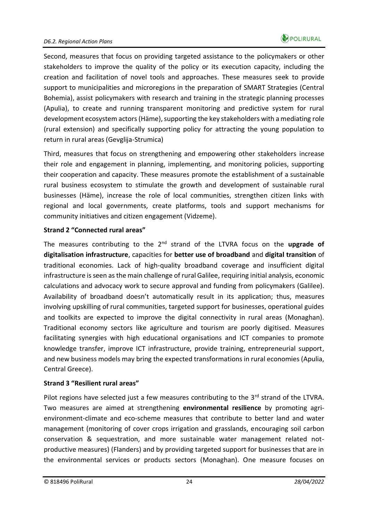

Second, measures that focus on providing targeted assistance to the policymakers or other stakeholders to improve the quality of the policy or its execution capacity, including the creation and facilitation of novel tools and approaches. These measures seek to provide support to municipalities and microregions in the preparation of SMART Strategies (Central Bohemia), assist policymakers with research and training in the strategic planning processes (Apulia), to create and running transparent monitoring and predictive system for rural development ecosystem actors (Häme), supporting the key stakeholders with a mediating role (rural extension) and specifically supporting policy for attracting the young population to return in rural areas (Gevglija-Strumica)

Third, measures that focus on strengthening and empowering other stakeholders increase their role and engagement in planning, implementing, and monitoring policies, supporting their cooperation and capacity. These measures promote the establishment of a sustainable rural business ecosystem to stimulate the growth and development of sustainable rural businesses (Häme), increase the role of local communities, strengthen citizen links with regional and local governments, create platforms, tools and support mechanisms for community initiatives and citizen engagement (Vidzeme).

#### **Strand 2 "Connected rural areas"**

The measures contributing to the 2nd strand of the LTVRA focus on the **upgrade of digitalisation infrastructure**, capacities for **better use of broadband** and **digital transition** of traditional economies. Lack of high-quality broadband coverage and insufficient digital infrastructure is seen as the main challenge of rural Galilee, requiring initial analysis, economic calculations and advocacy work to secure approval and funding from policymakers (Galilee). Availability of broadband doesn't automatically result in its application; thus, measures involving upskilling of rural communities, targeted support for businesses, operational guides and toolkits are expected to improve the digital connectivity in rural areas (Monaghan). Traditional economy sectors like agriculture and tourism are poorly digitised. Measures facilitating synergies with high educational organisations and ICT companies to promote knowledge transfer, improve ICT infrastructure, provide training, entrepreneurial support, and new business models may bring the expected transformations in rural economies (Apulia, Central Greece).

#### **Strand 3 "Resilient rural areas"**

Pilot regions have selected just a few measures contributing to the 3<sup>rd</sup> strand of the LTVRA. Two measures are aimed at strengthening **environmental resilience** by promoting agrienvironment-climate and eco-scheme measures that contribute to better land and water management (monitoring of cover crops irrigation and grasslands, encouraging soil carbon conservation & sequestration, and more sustainable water management related notproductive measures) (Flanders) and by providing targeted support for businesses that are in the environmental services or products sectors (Monaghan). One measure focuses on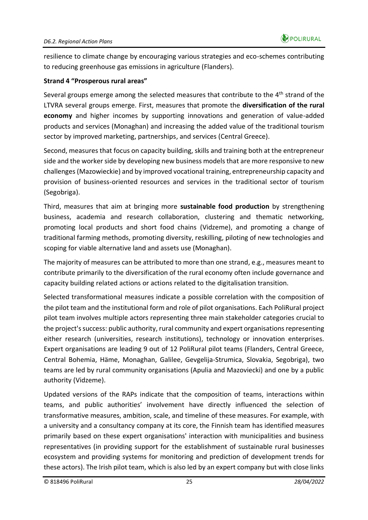resilience to climate change by encouraging various strategies and eco-schemes contributing to reducing greenhouse gas emissions in agriculture (Flanders).

#### **Strand 4 "Prosperous rural areas"**

Several groups emerge among the selected measures that contribute to the 4<sup>th</sup> strand of the LTVRA several groups emerge. First, measures that promote the **diversification of the rural economy** and higher incomes by supporting innovations and generation of value-added products and services (Monaghan) and increasing the added value of the traditional tourism sector by improved marketing, partnerships, and services (Central Greece).

Second, measures that focus on capacity building, skills and training both at the entrepreneur side and the worker side by developing new business models that are more responsive to new challenges (Mazowieckie) and by improved vocational training, entrepreneurship capacity and provision of business-oriented resources and services in the traditional sector of tourism (Segobriga).

Third, measures that aim at bringing more **sustainable food production** by strengthening business, academia and research collaboration, clustering and thematic networking, promoting local products and short food chains (Vidzeme), and promoting a change of traditional farming methods, promoting diversity, reskilling, piloting of new technologies and scoping for viable alternative land and assets use (Monaghan).

The majority of measures can be attributed to more than one strand, e.g., measures meant to contribute primarily to the diversification of the rural economy often include governance and capacity building related actions or actions related to the digitalisation transition.

Selected transformational measures indicate a possible correlation with the composition of the pilot team and the institutional form and role of pilot organisations. Each PoliRural project pilot team involves multiple actors representing three main stakeholder categories crucial to the project's success: public authority, rural community and expert organisations representing either research (universities, research institutions), technology or innovation enterprises. Expert organisations are leading 9 out of 12 PoliRural pilot teams (Flanders, Central Greece, Central Bohemia, Häme, Monaghan, Galilee, Gevgelija-Strumica, Slovakia, Segobriga), two teams are led by rural community organisations (Apulia and Mazoviecki) and one by a public authority (Vidzeme).

Updated versions of the RAPs indicate that the composition of teams, interactions within teams, and public authorities' involvement have directly influenced the selection of transformative measures, ambition, scale, and timeline of these measures. For example, with a university and a consultancy company at its core, the Finnish team has identified measures primarily based on these expert organisations' interaction with municipalities and business representatives (in providing support for the establishment of sustainable rural businesses ecosystem and providing systems for monitoring and prediction of development trends for these actors). The Irish pilot team, which is also led by an expert company but with close links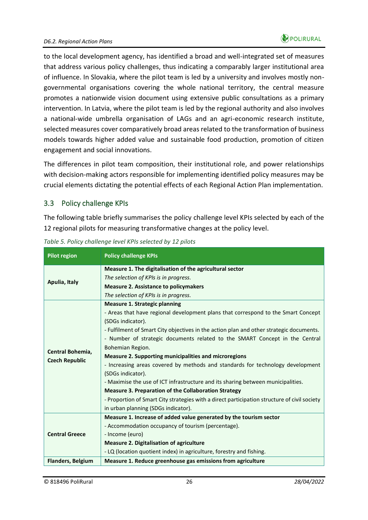to the local development agency, has identified a broad and well-integrated set of measures that address various policy challenges, thus indicating a comparably larger institutional area of influence. In Slovakia, where the pilot team is led by a university and involves mostly nongovernmental organisations covering the whole national territory, the central measure promotes a nationwide vision document using extensive public consultations as a primary intervention. In Latvia, where the pilot team is led by the regional authority and also involves a national-wide umbrella organisation of LAGs and an agri-economic research institute, selected measures cover comparatively broad areas related to the transformation of business models towards higher added value and sustainable food production, promotion of citizen engagement and social innovations.

The differences in pilot team composition, their institutional role, and power relationships with decision-making actors responsible for implementing identified policy measures may be crucial elements dictating the potential effects of each Regional Action Plan implementation.

#### <span id="page-25-0"></span>3.3 Policy challenge KPIs

The following table briefly summarises the policy challenge level KPIs selected by each of the 12 regional pilots for measuring transformative changes at the policy level.

| <b>Pilot region</b>      | <b>Policy challenge KPIs</b>                                                                 |  |  |  |
|--------------------------|----------------------------------------------------------------------------------------------|--|--|--|
| Apulia, Italy            | Measure 1. The digitalisation of the agricultural sector                                     |  |  |  |
|                          | The selection of KPIs is in progress.                                                        |  |  |  |
|                          | <b>Measure 2. Assistance to policymakers</b>                                                 |  |  |  |
|                          | The selection of KPIs is in progress.                                                        |  |  |  |
|                          | <b>Measure 1. Strategic planning</b>                                                         |  |  |  |
|                          | - Areas that have regional development plans that correspond to the Smart Concept            |  |  |  |
|                          | (SDGs indicator).                                                                            |  |  |  |
|                          | - Fulfilment of Smart City objectives in the action plan and other strategic documents.      |  |  |  |
|                          | - Number of strategic documents related to the SMART Concept in the Central                  |  |  |  |
| Central Bohemia,         | Bohemian Region.                                                                             |  |  |  |
| <b>Czech Republic</b>    | <b>Measure 2. Supporting municipalities and microregions</b>                                 |  |  |  |
|                          | - Increasing areas covered by methods and standards for technology development               |  |  |  |
|                          | (SDGs indicator).                                                                            |  |  |  |
|                          | - Maximise the use of ICT infrastructure and its sharing between municipalities.             |  |  |  |
|                          | <b>Measure 3. Preparation of the Collaboration Strategy</b>                                  |  |  |  |
|                          | - Proportion of Smart City strategies with a direct participation structure of civil society |  |  |  |
|                          | in urban planning (SDGs indicator).                                                          |  |  |  |
|                          | Measure 1. Increase of added value generated by the tourism sector                           |  |  |  |
| <b>Central Greece</b>    | - Accommodation occupancy of tourism (percentage).                                           |  |  |  |
|                          | - Income (euro)                                                                              |  |  |  |
|                          | <b>Measure 2. Digitalisation of agriculture</b>                                              |  |  |  |
|                          | - LQ (location quotient index) in agriculture, forestry and fishing.                         |  |  |  |
| <b>Flanders, Belgium</b> | Measure 1. Reduce greenhouse gas emissions from agriculture                                  |  |  |  |

<span id="page-25-1"></span>*Table 5. Policy challenge level KPIs selected by 12 pilots*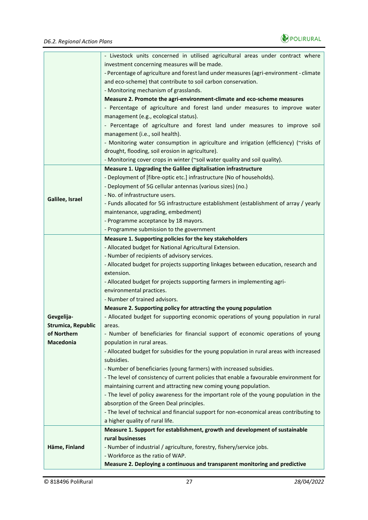

|                           | - Livestock units concerned in utilised agricultural areas under contract where<br>investment concerning measures will be made. |  |  |  |  |  |  |
|---------------------------|---------------------------------------------------------------------------------------------------------------------------------|--|--|--|--|--|--|
|                           |                                                                                                                                 |  |  |  |  |  |  |
|                           | - Percentage of agriculture and forest land under measures (agri-environment - climate                                          |  |  |  |  |  |  |
|                           | and eco-scheme) that contribute to soil carbon conservation.                                                                    |  |  |  |  |  |  |
|                           | - Monitoring mechanism of grasslands.                                                                                           |  |  |  |  |  |  |
|                           | Measure 2. Promote the agri-environment-climate and eco-scheme measures                                                         |  |  |  |  |  |  |
|                           | - Percentage of agriculture and forest land under measures to improve water                                                     |  |  |  |  |  |  |
|                           | management (e.g., ecological status).                                                                                           |  |  |  |  |  |  |
|                           | - Percentage of agriculture and forest land under measures to improve soil                                                      |  |  |  |  |  |  |
|                           | management (i.e., soil health).                                                                                                 |  |  |  |  |  |  |
|                           | - Monitoring water consumption in agriculture and irrigation (efficiency) (~risks of                                            |  |  |  |  |  |  |
|                           | drought, flooding, soil erosion in agriculture).                                                                                |  |  |  |  |  |  |
|                           | - Monitoring cover crops in winter (~soil water quality and soil quality).                                                      |  |  |  |  |  |  |
|                           | Measure 1. Upgrading the Galilee digitalisation infrastructure                                                                  |  |  |  |  |  |  |
|                           | - Deployment of [fibre-optic etc.] infrastructure (No of households).                                                           |  |  |  |  |  |  |
|                           | - Deployment of 5G cellular antennas (various sizes) (no.)                                                                      |  |  |  |  |  |  |
|                           | - No. of infrastructure users.                                                                                                  |  |  |  |  |  |  |
| Galilee, Israel           | - Funds allocated for 5G infrastructure establishment (establishment of array / yearly                                          |  |  |  |  |  |  |
|                           | maintenance, upgrading, embedment)                                                                                              |  |  |  |  |  |  |
|                           | - Programme acceptance by 18 mayors.                                                                                            |  |  |  |  |  |  |
|                           | - Programme submission to the government                                                                                        |  |  |  |  |  |  |
|                           | Measure 1. Supporting policies for the key stakeholders                                                                         |  |  |  |  |  |  |
|                           | - Allocated budget for National Agricultural Extension.                                                                         |  |  |  |  |  |  |
|                           | - Number of recipients of advisory services.                                                                                    |  |  |  |  |  |  |
|                           | - Allocated budget for projects supporting linkages between education, research and                                             |  |  |  |  |  |  |
|                           | extension.                                                                                                                      |  |  |  |  |  |  |
|                           | - Allocated budget for projects supporting farmers in implementing agri-                                                        |  |  |  |  |  |  |
|                           | environmental practices.                                                                                                        |  |  |  |  |  |  |
|                           | - Number of trained advisors.                                                                                                   |  |  |  |  |  |  |
|                           | Measure 2. Supporting policy for attracting the young population                                                                |  |  |  |  |  |  |
| Gevgelija-                | - Allocated budget for supporting economic operations of young population in rural                                              |  |  |  |  |  |  |
| <b>Strumica, Republic</b> | areas.                                                                                                                          |  |  |  |  |  |  |
| of Northern               | - Number of beneficiaries for financial support of economic operations of young                                                 |  |  |  |  |  |  |
| <b>Macedonia</b>          | population in rural areas.                                                                                                      |  |  |  |  |  |  |
|                           | - Allocated budget for subsidies for the young population in rural areas with increased                                         |  |  |  |  |  |  |
|                           | subsidies.                                                                                                                      |  |  |  |  |  |  |
|                           | - Number of beneficiaries (young farmers) with increased subsidies.                                                             |  |  |  |  |  |  |
|                           | - The level of consistency of current policies that enable a favourable environment for                                         |  |  |  |  |  |  |
|                           | maintaining current and attracting new coming young population.                                                                 |  |  |  |  |  |  |
|                           | - The level of policy awareness for the important role of the young population in the                                           |  |  |  |  |  |  |
|                           | absorption of the Green Deal principles.                                                                                        |  |  |  |  |  |  |
|                           | - The level of technical and financial support for non-economical areas contributing to                                         |  |  |  |  |  |  |
|                           | a higher quality of rural life.                                                                                                 |  |  |  |  |  |  |
|                           | Measure 1. Support for establishment, growth and development of sustainable                                                     |  |  |  |  |  |  |
| Häme, Finland             | rural businesses                                                                                                                |  |  |  |  |  |  |
|                           | - Number of industrial / agriculture, forestry, fishery/service jobs.                                                           |  |  |  |  |  |  |
|                           | - Workforce as the ratio of WAP.                                                                                                |  |  |  |  |  |  |
|                           | Measure 2. Deploying a continuous and transparent monitoring and predictive                                                     |  |  |  |  |  |  |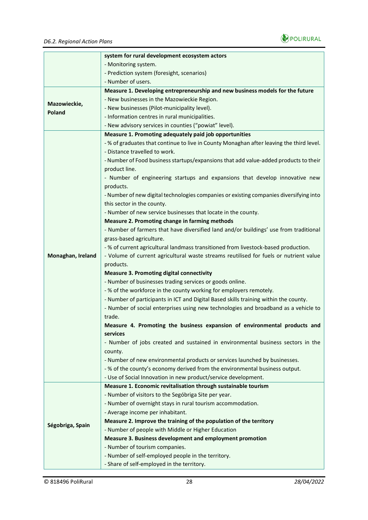

|                   | system for rural development ecosystem actors                                            |  |  |  |  |
|-------------------|------------------------------------------------------------------------------------------|--|--|--|--|
|                   | - Monitoring system.                                                                     |  |  |  |  |
|                   | - Prediction system (foresight, scenarios)<br>- Number of users.                         |  |  |  |  |
|                   |                                                                                          |  |  |  |  |
|                   | Measure 1. Developing entrepreneurship and new business models for the future            |  |  |  |  |
|                   | - New businesses in the Mazowieckie Region.                                              |  |  |  |  |
| Mazowieckie,      | - New businesses (Pilot-municipality level).                                             |  |  |  |  |
| Poland            | - Information centres in rural municipalities.                                           |  |  |  |  |
|                   | - New advisory services in counties ("powiat" level).                                    |  |  |  |  |
|                   | Measure 1. Promoting adequately paid job opportunities                                   |  |  |  |  |
|                   | - % of graduates that continue to live in County Monaghan after leaving the third level. |  |  |  |  |
|                   | - Distance travelled to work.                                                            |  |  |  |  |
|                   | - Number of Food business startups/expansions that add value-added products to their     |  |  |  |  |
|                   | product line.                                                                            |  |  |  |  |
|                   | - Number of engineering startups and expansions that develop innovative new              |  |  |  |  |
|                   | products.                                                                                |  |  |  |  |
|                   | - Number of new digital technologies companies or existing companies diversifying into   |  |  |  |  |
|                   | this sector in the county.                                                               |  |  |  |  |
|                   | - Number of new service businesses that locate in the county.                            |  |  |  |  |
|                   | Measure 2. Promoting change in farming methods                                           |  |  |  |  |
|                   | - Number of farmers that have diversified land and/or buildings' use from traditional    |  |  |  |  |
|                   | grass-based agriculture.                                                                 |  |  |  |  |
|                   | - % of current agricultural landmass transitioned from livestock-based production.       |  |  |  |  |
| Monaghan, Ireland | - Volume of current agricultural waste streams reutilised for fuels or nutrient value    |  |  |  |  |
|                   | products.                                                                                |  |  |  |  |
|                   | <b>Measure 3. Promoting digital connectivity</b>                                         |  |  |  |  |
|                   | - Number of businesses trading services or goods online.                                 |  |  |  |  |
|                   | - % of the workforce in the county working for employers remotely.                       |  |  |  |  |
|                   | - Number of participants in ICT and Digital Based skills training within the county.     |  |  |  |  |
|                   | - Number of social enterprises using new technologies and broadband as a vehicle to      |  |  |  |  |
|                   | trade.                                                                                   |  |  |  |  |
|                   | Measure 4. Promoting the business expansion of environmental products and                |  |  |  |  |
|                   | services                                                                                 |  |  |  |  |
|                   | - Number of jobs created and sustained in environmental business sectors in the          |  |  |  |  |
|                   | county.                                                                                  |  |  |  |  |
|                   | - Number of new environmental products or services launched by businesses.               |  |  |  |  |
|                   | - % of the county's economy derived from the environmental business output.              |  |  |  |  |
|                   | - Use of Social Innovation in new product/service development.                           |  |  |  |  |
|                   | Measure 1. Economic revitalisation through sustainable tourism                           |  |  |  |  |
|                   | - Number of visitors to the Segóbriga Site per year.                                     |  |  |  |  |
|                   | - Number of overnight stays in rural tourism accommodation.                              |  |  |  |  |
|                   | - Average income per inhabitant.                                                         |  |  |  |  |
| Ségobriga, Spain  | Measure 2. Improve the training of the population of the territory                       |  |  |  |  |
|                   | - Number of people with Middle or Higher Education                                       |  |  |  |  |
|                   | Measure 3. Business development and employment promotion                                 |  |  |  |  |
|                   | - Number of tourism companies.                                                           |  |  |  |  |
|                   | - Number of self-employed people in the territory.                                       |  |  |  |  |
|                   | - Share of self-employed in the territory.                                               |  |  |  |  |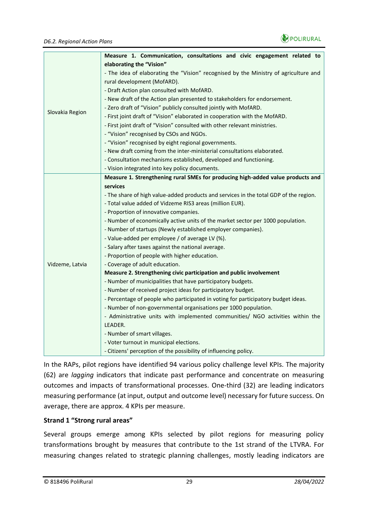

|                 | Measure 1. Communication, consultations and civic engagement related to               |  |  |
|-----------------|---------------------------------------------------------------------------------------|--|--|
|                 | elaborating the "Vision"                                                              |  |  |
|                 | - The idea of elaborating the "Vision" recognised by the Ministry of agriculture and  |  |  |
|                 | rural development (MofARD).                                                           |  |  |
|                 | - Draft Action plan consulted with MofARD.                                            |  |  |
|                 | - New draft of the Action plan presented to stakeholders for endorsement.             |  |  |
| Slovakia Region | - Zero draft of "Vision" publicly consulted jointly with MofARD.                      |  |  |
|                 | - First joint draft of "Vision" elaborated in cooperation with the MofARD.            |  |  |
|                 | - First joint draft of "Vision" consulted with other relevant ministries.             |  |  |
|                 | - "Vision" recognised by CSOs and NGOs.                                               |  |  |
|                 | - "Vision" recognised by eight regional governments.                                  |  |  |
|                 | - New draft coming from the inter-ministerial consultations elaborated.               |  |  |
|                 | - Consultation mechanisms established, developed and functioning.                     |  |  |
|                 | - Vision integrated into key policy documents.                                        |  |  |
|                 | Measure 1. Strengthening rural SMEs for producing high-added value products and       |  |  |
|                 | services                                                                              |  |  |
|                 | - The share of high value-added products and services in the total GDP of the region. |  |  |
|                 | - Total value added of Vidzeme RIS3 areas (million EUR).                              |  |  |
|                 | - Proportion of innovative companies.                                                 |  |  |
|                 | - Number of economically active units of the market sector per 1000 population.       |  |  |
|                 | - Number of startups (Newly established employer companies).                          |  |  |
|                 | - Value-added per employee / of average LV (%).                                       |  |  |
|                 | - Salary after taxes against the national average.                                    |  |  |
|                 | - Proportion of people with higher education.                                         |  |  |
| Vidzeme, Latvia | - Coverage of adult education.                                                        |  |  |
|                 | Measure 2. Strengthening civic participation and public involvement                   |  |  |
|                 | - Number of municipalities that have participatory budgets.                           |  |  |
|                 | - Number of received project ideas for participatory budget.                          |  |  |
|                 | - Percentage of people who participated in voting for participatory budget ideas.     |  |  |
|                 | - Number of non-governmental organisations per 1000 population.                       |  |  |
|                 | - Administrative units with implemented communities/ NGO activities within the        |  |  |
|                 | LEADER.                                                                               |  |  |
|                 | - Number of smart villages.                                                           |  |  |
|                 | - Voter turnout in municipal elections.                                               |  |  |
|                 | - Citizens' perception of the possibility of influencing policy.                      |  |  |

In the RAPs, pilot regions have identified 94 various policy challenge level KPIs. The majority (62) are *lagging* indicators that indicate past performance and concentrate on measuring outcomes and impacts of transformational processes. One-third (32) are leading indicators measuring performance (at input, output and outcome level) necessary for future success. On average, there are approx. 4 KPIs per measure.

#### **Strand 1 "Strong rural areas"**

Several groups emerge among KPIs selected by pilot regions for measuring policy transformations brought by measures that contribute to the 1st strand of the LTVRA. For measuring changes related to strategic planning challenges, mostly leading indicators are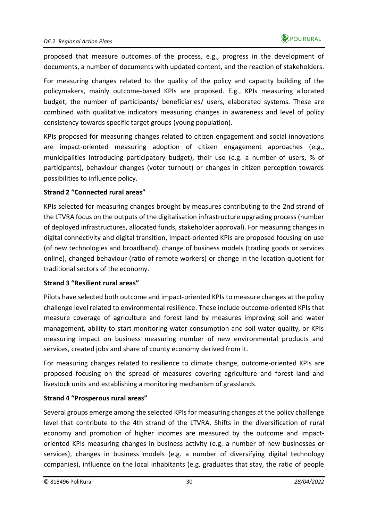proposed that measure outcomes of the process, e.g., progress in the development of documents, a number of documents with updated content, and the reaction of stakeholders.

For measuring changes related to the quality of the policy and capacity building of the policymakers, mainly outcome-based KPIs are proposed. E.g., KPIs measuring allocated budget, the number of participants/ beneficiaries/ users, elaborated systems. These are combined with qualitative indicators measuring changes in awareness and level of policy consistency towards specific target groups (young population).

KPIs proposed for measuring changes related to citizen engagement and social innovations are impact-oriented measuring adoption of citizen engagement approaches (e.g., municipalities introducing participatory budget), their use (e.g. a number of users, % of participants), behaviour changes (voter turnout) or changes in citizen perception towards possibilities to influence policy.

#### **Strand 2 "Connected rural areas"**

KPIs selected for measuring changes brought by measures contributing to the 2nd strand of the LTVRA focus on the outputs of the digitalisation infrastructure upgrading process (number of deployed infrastructures, allocated funds, stakeholder approval). For measuring changes in digital connectivity and digital transition, impact-oriented KPIs are proposed focusing on use (of new technologies and broadband), change of business models (trading goods or services online), changed behaviour (ratio of remote workers) or change in the location quotient for traditional sectors of the economy.

#### **Strand 3 "Resilient rural areas"**

Pilots have selected both outcome and impact-oriented KPIs to measure changes at the policy challenge level related to environmental resilience. These include outcome-oriented KPIs that measure coverage of agriculture and forest land by measures improving soil and water management, ability to start monitoring water consumption and soil water quality, or KPIs measuring impact on business measuring number of new environmental products and services, created jobs and share of county economy derived from it.

For measuring changes related to resilience to climate change, outcome-oriented KPIs are proposed focusing on the spread of measures covering agriculture and forest land and livestock units and establishing a monitoring mechanism of grasslands.

#### **Strand 4 "Prosperous rural areas"**

Several groups emerge among the selected KPIs for measuring changes at the policy challenge level that contribute to the 4th strand of the LTVRA. Shifts in the diversification of rural economy and promotion of higher incomes are measured by the outcome and impactoriented KPIs measuring changes in business activity (e.g. a number of new businesses or services), changes in business models (e.g. a number of diversifying digital technology companies), influence on the local inhabitants (e.g. graduates that stay, the ratio of people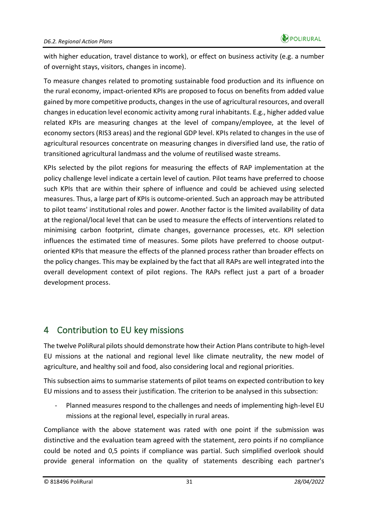with higher education, travel distance to work), or effect on business activity (e.g. a number of overnight stays, visitors, changes in income).

To measure changes related to promoting sustainable food production and its influence on the rural economy, impact-oriented KPIs are proposed to focus on benefits from added value gained by more competitive products, changes in the use of agricultural resources, and overall changes in education level economic activity among rural inhabitants. E.g., higher added value related KPIs are measuring changes at the level of company/employee, at the level of economy sectors (RIS3 areas) and the regional GDP level. KPIs related to changes in the use of agricultural resources concentrate on measuring changes in diversified land use, the ratio of transitioned agricultural landmass and the volume of reutilised waste streams.

KPIs selected by the pilot regions for measuring the effects of RAP implementation at the policy challenge level indicate a certain level of caution. Pilot teams have preferred to choose such KPIs that are within their sphere of influence and could be achieved using selected measures. Thus, a large part of KPIs is outcome-oriented. Such an approach may be attributed to pilot teams' institutional roles and power. Another factor is the limited availability of data at the regional/local level that can be used to measure the effects of interventions related to minimising carbon footprint, climate changes, governance processes, etc. KPI selection influences the estimated time of measures. Some pilots have preferred to choose outputoriented KPIs that measure the effects of the planned process rather than broader effects on the policy changes. This may be explained by the fact that all RAPs are well integrated into the overall development context of pilot regions. The RAPs reflect just a part of a broader development process.

# <span id="page-30-0"></span>4 Contribution to EU key missions

The twelve PoliRural pilots should demonstrate how their Action Plans contribute to high-level EU missions at the national and regional level like climate neutrality, the new model of agriculture, and healthy soil and food, also considering local and regional priorities.

This subsection aims to summarise statements of pilot teams on expected contribution to key EU missions and to assess their justification. The criterion to be analysed in this subsection:

- Planned measures respond to the challenges and needs of implementing high-level EU missions at the regional level, especially in rural areas.

Compliance with the above statement was rated with one point if the submission was distinctive and the evaluation team agreed with the statement, zero points if no compliance could be noted and 0,5 points if compliance was partial. Such simplified overlook should provide general information on the quality of statements describing each partner's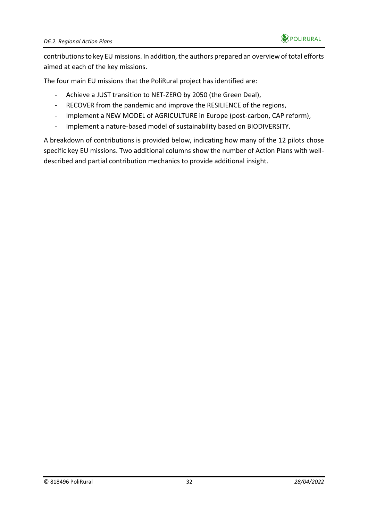

contributions to key EU missions. In addition, the authors prepared an overview of total efforts aimed at each of the key missions.

The four main EU missions that the PoliRural project has identified are:

- Achieve a JUST transition to NET-ZERO by 2050 (the Green Deal),
- RECOVER from the pandemic and improve the RESILIENCE of the regions,
- Implement a NEW MODEL of AGRICULTURE in Europe (post-carbon, CAP reform),
- Implement a nature-based model of sustainability based on BIODIVERSITY.

A breakdown of contributions is provided below, indicating how many of the 12 pilots chose specific key EU missions. Two additional columns show the number of Action Plans with welldescribed and partial contribution mechanics to provide additional insight.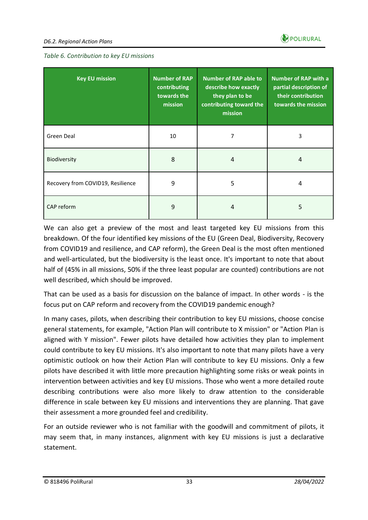

<span id="page-32-0"></span>

| <b>Key EU mission</b>             | <b>Number of RAP</b><br>contributing<br>towards the<br>mission | Number of RAP able to<br>describe how exactly<br>they plan to be<br>contributing toward the<br>mission | <b>Number of RAP with a</b><br>partial description of<br>their contribution<br>towards the mission |
|-----------------------------------|----------------------------------------------------------------|--------------------------------------------------------------------------------------------------------|----------------------------------------------------------------------------------------------------|
| Green Deal                        | 10                                                             | 7                                                                                                      | 3                                                                                                  |
| Biodiversity                      | 8                                                              | 4                                                                                                      | 4                                                                                                  |
| Recovery from COVID19, Resilience | 9                                                              | 5                                                                                                      | 4                                                                                                  |
| CAP reform                        | 9                                                              | 4                                                                                                      | 5                                                                                                  |

We can also get a preview of the most and least targeted key EU missions from this breakdown. Of the four identified key missions of the EU (Green Deal, Biodiversity, Recovery from COVID19 and resilience, and CAP reform), the Green Deal is the most often mentioned and well-articulated, but the biodiversity is the least once. It's important to note that about half of (45% in all missions, 50% if the three least popular are counted) contributions are not well described, which should be improved.

That can be used as a basis for discussion on the balance of impact. In other words - is the focus put on CAP reform and recovery from the COVID19 pandemic enough?

In many cases, pilots, when describing their contribution to key EU missions, choose concise general statements, for example, "Action Plan will contribute to X mission" or "Action Plan is aligned with Y mission". Fewer pilots have detailed how activities they plan to implement could contribute to key EU missions. It's also important to note that many pilots have a very optimistic outlook on how their Action Plan will contribute to key EU missions. Only a few pilots have described it with little more precaution highlighting some risks or weak points in intervention between activities and key EU missions. Those who went a more detailed route describing contributions were also more likely to draw attention to the considerable difference in scale between key EU missions and interventions they are planning. That gave their assessment a more grounded feel and credibility.

For an outside reviewer who is not familiar with the goodwill and commitment of pilots, it may seem that, in many instances, alignment with key EU missions is just a declarative statement.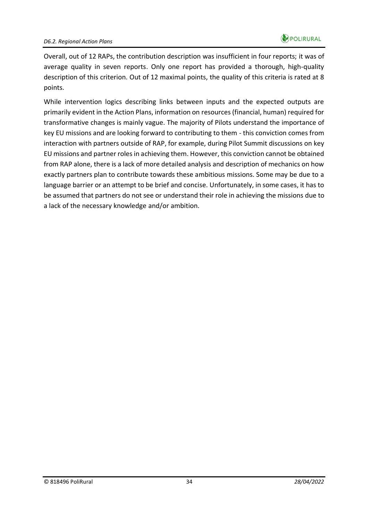

Overall, out of 12 RAPs, the contribution description was insufficient in four reports; it was of average quality in seven reports. Only one report has provided a thorough, high-quality description of this criterion. Out of 12 maximal points, the quality of this criteria is rated at 8 points.

While intervention logics describing links between inputs and the expected outputs are primarily evident in the Action Plans, information on resources (financial, human) required for transformative changes is mainly vague. The majority of Pilots understand the importance of key EU missions and are looking forward to contributing to them - this conviction comes from interaction with partners outside of RAP, for example, during Pilot Summit discussions on key EU missions and partner roles in achieving them. However, this conviction cannot be obtained from RAP alone, there is a lack of more detailed analysis and description of mechanics on how exactly partners plan to contribute towards these ambitious missions. Some may be due to a language barrier or an attempt to be brief and concise. Unfortunately, in some cases, it has to be assumed that partners do not see or understand their role in achieving the missions due to a lack of the necessary knowledge and/or ambition.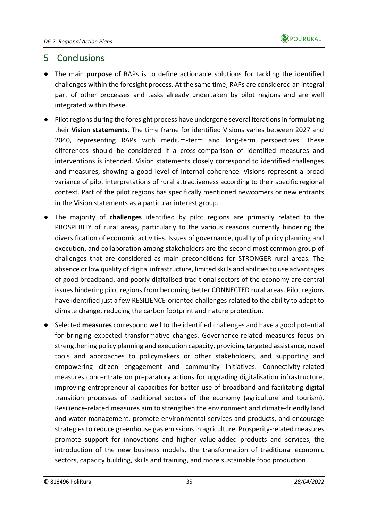

### <span id="page-34-0"></span>5 Conclusions

- The main **purpose** of RAPs is to define actionable solutions for tackling the identified challenges within the foresight process. At the same time, RAPs are considered an integral part of other processes and tasks already undertaken by pilot regions and are well integrated within these.
- Pilot regions during the foresight process have undergone several iterations in formulating their **Vision statements**. The time frame for identified Visions varies between 2027 and 2040, representing RAPs with medium-term and long-term perspectives. These differences should be considered if a cross-comparison of identified measures and interventions is intended. Vision statements closely correspond to identified challenges and measures, showing a good level of internal coherence. Visions represent a broad variance of pilot interpretations of rural attractiveness according to their specific regional context. Part of the pilot regions has specifically mentioned newcomers or new entrants in the Vision statements as a particular interest group.
- The majority of **challenges** identified by pilot regions are primarily related to the PROSPERITY of rural areas, particularly to the various reasons currently hindering the diversification of economic activities. Issues of governance, quality of policy planning and execution, and collaboration among stakeholders are the second most common group of challenges that are considered as main preconditions for STRONGER rural areas. The absence or low quality of digital infrastructure, limited skills and abilities to use advantages of good broadband, and poorly digitalised traditional sectors of the economy are central issues hindering pilot regions from becoming better CONNECTED rural areas. Pilot regions have identified just a few RESILIENCE-oriented challenges related to the ability to adapt to climate change, reducing the carbon footprint and nature protection.
- Selected **measures** correspond well to the identified challenges and have a good potential for bringing expected transformative changes. Governance-related measures focus on strengthening policy planning and execution capacity, providing targeted assistance, novel tools and approaches to policymakers or other stakeholders, and supporting and empowering citizen engagement and community initiatives. Connectivity-related measures concentrate on preparatory actions for upgrading digitalisation infrastructure, improving entrepreneurial capacities for better use of broadband and facilitating digital transition processes of traditional sectors of the economy (agriculture and tourism). Resilience-related measures aim to strengthen the environment and climate-friendly land and water management, promote environmental services and products, and encourage strategies to reduce greenhouse gas emissions in agriculture. Prosperity-related measures promote support for innovations and higher value-added products and services, the introduction of the new business models, the transformation of traditional economic sectors, capacity building, skills and training, and more sustainable food production.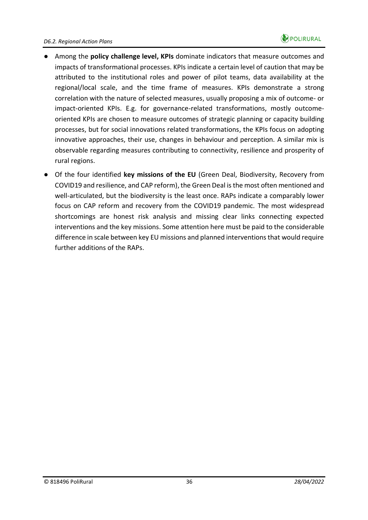

- Among the **policy challenge level, KPIs** dominate indicators that measure outcomes and impacts of transformational processes. KPIs indicate a certain level of caution that may be attributed to the institutional roles and power of pilot teams, data availability at the regional/local scale, and the time frame of measures. KPIs demonstrate a strong correlation with the nature of selected measures, usually proposing a mix of outcome- or impact-oriented KPIs. E.g. for governance-related transformations, mostly outcomeoriented KPIs are chosen to measure outcomes of strategic planning or capacity building processes, but for social innovations related transformations, the KPIs focus on adopting innovative approaches, their use, changes in behaviour and perception. A similar mix is observable regarding measures contributing to connectivity, resilience and prosperity of rural regions.
- Of the four identified **key missions of the EU** (Green Deal, Biodiversity, Recovery from COVID19 and resilience, and CAP reform), the Green Deal is the most often mentioned and well-articulated, but the biodiversity is the least once. RAPs indicate a comparably lower focus on CAP reform and recovery from the COVID19 pandemic. The most widespread shortcomings are honest risk analysis and missing clear links connecting expected interventions and the key missions. Some attention here must be paid to the considerable difference in scale between key EU missions and planned interventions that would require further additions of the RAPs.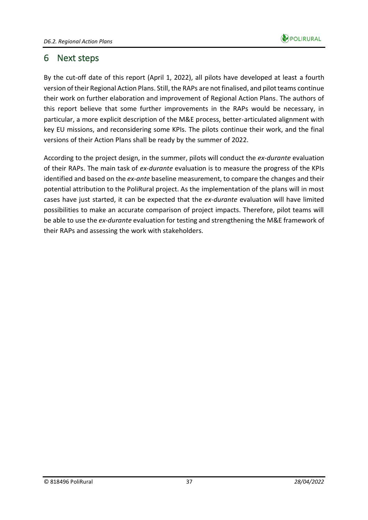

### <span id="page-36-0"></span>6 Next steps

By the cut-off date of this report (April 1, 2022), all pilots have developed at least a fourth version of their Regional Action Plans. Still, the RAPs are not finalised, and pilot teams continue their work on further elaboration and improvement of Regional Action Plans. The authors of this report believe that some further improvements in the RAPs would be necessary, in particular, a more explicit description of the M&E process, better-articulated alignment with key EU missions, and reconsidering some KPIs. The pilots continue their work, and the final versions of their Action Plans shall be ready by the summer of 2022.

According to the project design, in the summer, pilots will conduct the *ex-durante* evaluation of their RAPs. The main task of *ex-durante* evaluation is to measure the progress of the KPIs identified and based on the *ex-ante* baseline measurement, to compare the changes and their potential attribution to the PoliRural project. As the implementation of the plans will in most cases have just started, it can be expected that the *ex-durante* evaluation will have limited possibilities to make an accurate comparison of project impacts. Therefore, pilot teams will be able to use the *ex-durante* evaluation for testing and strengthening the M&E framework of their RAPs and assessing the work with stakeholders.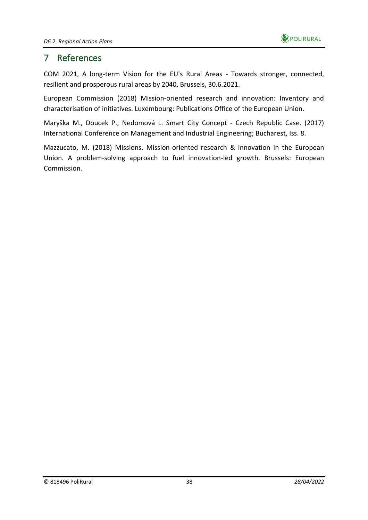

### <span id="page-37-0"></span>7 References

COM 2021, A long-term Vision for the EU's Rural Areas - Towards stronger, connected, resilient and prosperous rural areas by 2040, Brussels, 30.6.2021.

European Commission (2018) Mission-oriented research and innovation: Inventory and characterisation of initiatives. Luxembourg: Publications Office of the European Union.

Maryška M., Doucek P., Nedomová L. Smart City Concept - Czech Republic Case. (2017) International Conference on Management and Industrial Engineering; Bucharest, Iss. 8.

Mazzucato, M. (2018) Missions. Mission-oriented research & innovation in the European Union. A problem-solving approach to fuel innovation-led growth. Brussels: European Commission.